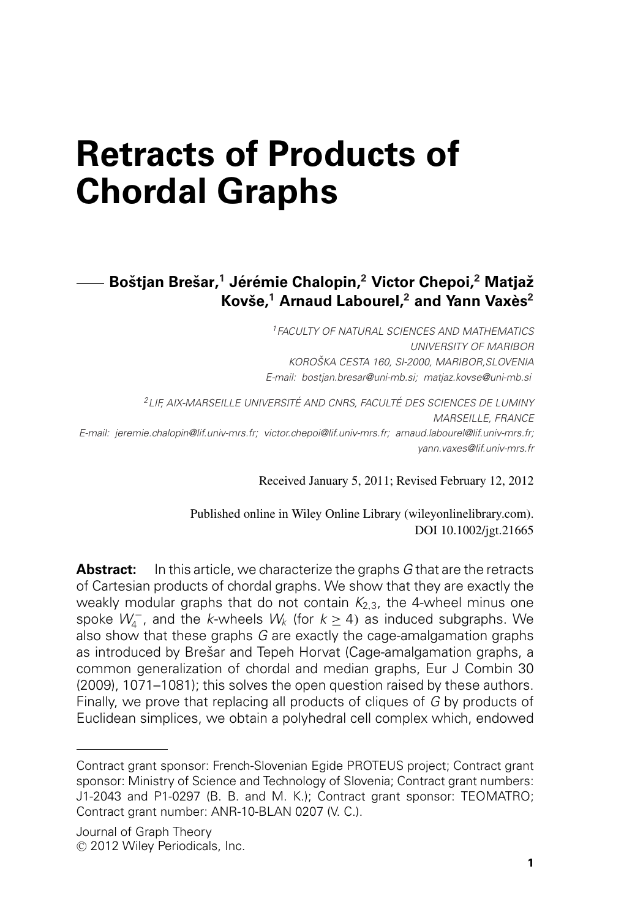# **Retracts of Products of Chordal Graphs**

# **Bostjan Bre ˇ sar, ˇ <sup>1</sup> Jer´ emie Chalopin, ´ <sup>2</sup> Victor Chepoi,<sup>2</sup> Matjazˇ Kovse, ˇ <sup>1</sup> Arnaud Labourel,<sup>2</sup> and Yann Vaxes` <sup>2</sup>**

*1FACULTY OF NATURAL SCIENCES AND MATHEMATICS UNIVERSITY OF MARIBOR KOROSKA CESTA 160, SI-2000, MARIBOR,SLOVENIA ˇ E-mail: bostjan.bresar@uni-mb.si; matjaz.kovse@uni-mb.si*

*2LIF, AIX-MARSEILLE UNIVERSITE AND CNRS, FACULT ´ E DES SCIENCES DE LUMINY ´ MARSEILLE, FRANCE E-mail: jeremie.chalopin@lif.univ-mrs.fr; victor.chepoi@lif.univ-mrs.fr; arnaud.labourel@lif.univ-mrs.fr; yann.vaxes@lif.univ-mrs.fr*

Received January 5, 2011; Revised February 12, 2012

Published online in Wiley Online Library (wileyonlinelibrary.com). DOI 10.1002/jgt.21665

**Abstract:** In this article, we characterize the graphs *G* that are the retracts of Cartesian products of chordal graphs. We show that they are exactly the weakly modular graphs that do not contain  $K_{2,3}$ , the 4-wheel minus one spoke  $W_4^-$ , and the *k*-wheels  $W_k$  (for  $k \ge 4$ ) as induced subgraphs. We also show that these graphs *G* are exactly the cage-amalgamation graphs as introduced by Brešar and Tepeh Horvat (Cage-amalgamation graphs, a common generalization of chordal and median graphs, Eur J Combin 30 (2009), 1071–1081); this solves the open question raised by these authors. Finally, we prove that replacing all products of cliques of *G* by products of Euclidean simplices, we obtain a polyhedral cell complex which, endowed

Contract grant sponsor: French-Slovenian Egide PROTEUS project; Contract grant sponsor: Ministry of Science and Technology of Slovenia; Contract grant numbers: J1-2043 and P1-0297 (B. B. and M. K.); Contract grant sponsor: TEOMATRO; Contract grant number: ANR-10-BLAN 0207 (V. C.).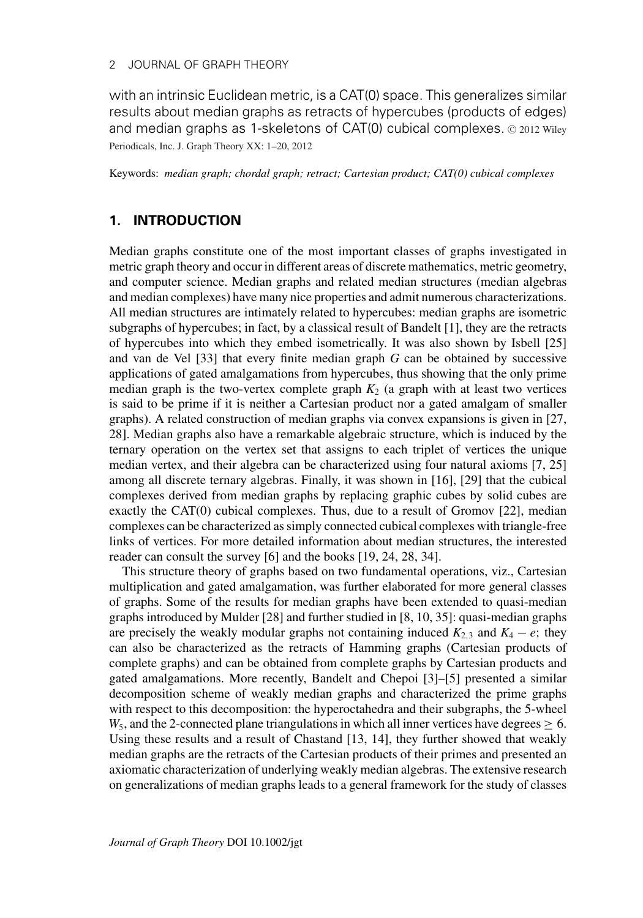with an intrinsic Euclidean metric, is a CAT(0) space. This generalizes similar results about median graphs as retracts of hypercubes (products of edges) and median graphs as 1-skeletons of CAT(0) cubical complexes.  $© 2012 Wiley$ Periodicals, Inc. J. Graph Theory XX: 1–20, 2012

Keywords: *median graph; chordal graph; retract; Cartesian product; CAT(0) cubical complexes*

# **1. INTRODUCTION**

Median graphs constitute one of the most important classes of graphs investigated in metric graph theory and occur in different areas of discrete mathematics, metric geometry, and computer science. Median graphs and related median structures (median algebras and median complexes) have many nice properties and admit numerous characterizations. All median structures are intimately related to hypercubes: median graphs are isometric subgraphs of hypercubes; in fact, by a classical result of Bandelt [1], they are the retracts of hypercubes into which they embed isometrically. It was also shown by Isbell [25] and van de Vel [33] that every finite median graph *G* can be obtained by successive applications of gated amalgamations from hypercubes, thus showing that the only prime median graph is the two-vertex complete graph  $K_2$  (a graph with at least two vertices is said to be prime if it is neither a Cartesian product nor a gated amalgam of smaller graphs). A related construction of median graphs via convex expansions is given in [27, 28]. Median graphs also have a remarkable algebraic structure, which is induced by the ternary operation on the vertex set that assigns to each triplet of vertices the unique median vertex, and their algebra can be characterized using four natural axioms [7, 25] among all discrete ternary algebras. Finally, it was shown in [16], [29] that the cubical complexes derived from median graphs by replacing graphic cubes by solid cubes are exactly the CAT(0) cubical complexes. Thus, due to a result of Gromov [22], median complexes can be characterized as simply connected cubical complexes with triangle-free links of vertices. For more detailed information about median structures, the interested reader can consult the survey [6] and the books [19, 24, 28, 34].

This structure theory of graphs based on two fundamental operations, viz., Cartesian multiplication and gated amalgamation, was further elaborated for more general classes of graphs. Some of the results for median graphs have been extended to quasi-median graphs introduced by Mulder [28] and further studied in [8, 10, 35]: quasi-median graphs are precisely the weakly modular graphs not containing induced  $K_{2,3}$  and  $K_4 - e$ ; they can also be characterized as the retracts of Hamming graphs (Cartesian products of complete graphs) and can be obtained from complete graphs by Cartesian products and gated amalgamations. More recently, Bandelt and Chepoi [3]–[5] presented a similar decomposition scheme of weakly median graphs and characterized the prime graphs with respect to this decomposition: the hyperoctahedra and their subgraphs, the 5-wheel  $W_5$ , and the 2-connected plane triangulations in which all inner vertices have degrees  $\geq 6$ . Using these results and a result of Chastand [13, 14], they further showed that weakly median graphs are the retracts of the Cartesian products of their primes and presented an axiomatic characterization of underlying weakly median algebras. The extensive research on generalizations of median graphs leads to a general framework for the study of classes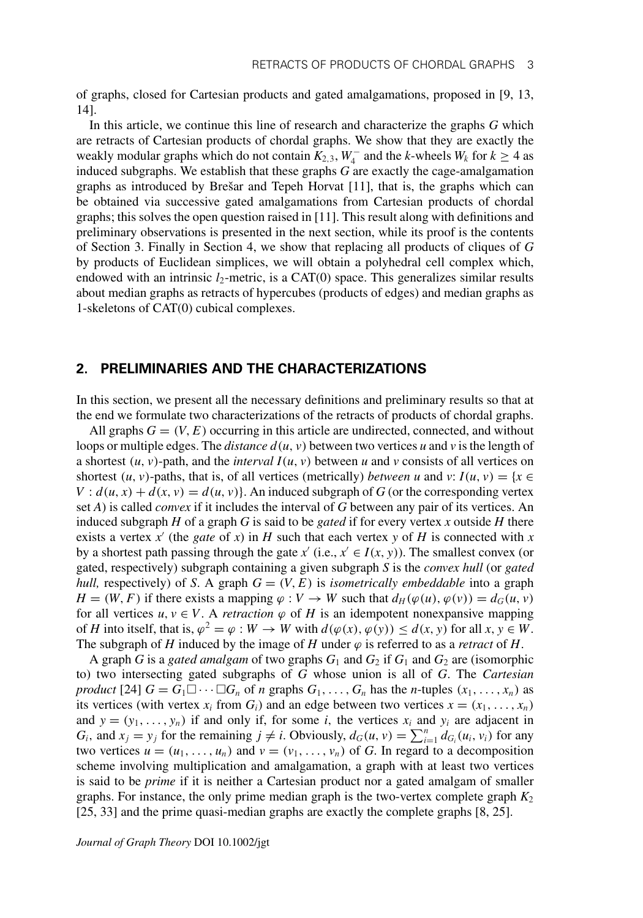of graphs, closed for Cartesian products and gated amalgamations, proposed in [9, 13, 14].

In this article, we continue this line of research and characterize the graphs *G* which are retracts of Cartesian products of chordal graphs. We show that they are exactly the weakly modular graphs which do not contain  $K_{2,3}$ ,  $W_4^-$  and the *k*-wheels  $W_k$  for  $k \ge 4$  as induced subgraphs. We establish that these graphs *G* are exactly the cage-amalgamation graphs as introduced by Brešar and Tepeh Horvat  $[11]$ , that is, the graphs which can be obtained via successive gated amalgamations from Cartesian products of chordal graphs; this solves the open question raised in [11]. This result along with definitions and preliminary observations is presented in the next section, while its proof is the contents of Section 3. Finally in Section 4, we show that replacing all products of cliques of *G* by products of Euclidean simplices, we will obtain a polyhedral cell complex which, endowed with an intrinsic  $l_2$ -metric, is a CAT(0) space. This generalizes similar results about median graphs as retracts of hypercubes (products of edges) and median graphs as 1-skeletons of CAT(0) cubical complexes.

#### **2. PRELIMINARIES AND THE CHARACTERIZATIONS**

In this section, we present all the necessary definitions and preliminary results so that at the end we formulate two characterizations of the retracts of products of chordal graphs.

All graphs  $G = (V, E)$  occurring in this article are undirected, connected, and without loops or multiple edges. The *distance*  $d(u, v)$  between two vertices *u* and *v* is the length of a shortest  $(u, v)$ -path, and the *interval*  $I(u, v)$  between *u* and *v* consists of all vertices on shortest  $(u, v)$ -paths, that is, of all vertices (metrically) *between u* and *v*:  $I(u, v) = \{x \in$  $V: d(u, x) + d(x, v) = d(u, v)$ . An induced subgraph of *G* (or the corresponding vertex set *A*) is called *convex* if it includes the interval of *G* between any pair of its vertices. An induced subgraph  $H$  of a graph  $G$  is said to be *gated* if for every vertex  $x$  outside  $H$  there exists a vertex  $x'$  (the *gate* of  $x$ ) in *H* such that each vertex  $y$  of *H* is connected with  $x$ by a shortest path passing through the gate  $x'$  (i.e.,  $x' \in I(x, y)$ ). The smallest convex (or gated, respectively) subgraph containing a given subgraph *S* is the *convex hull* (or *gated hull,* respectively) of *S*. A graph  $G = (V, E)$  is *isometrically embeddable* into a graph *H* = (*W*, *F*) if there exists a mapping  $\varphi : V \to W$  such that  $d_H(\varphi(u), \varphi(v)) = d_G(u, v)$ for all vertices  $u, v \in V$ . A *retraction*  $\varphi$  of *H* is an idempotent nonexpansive mapping of *H* into itself, that is,  $\varphi^2 = \varphi : W \to W$  with  $d(\varphi(x), \varphi(y)) \leq d(x, y)$  for all  $x, y \in W$ . The subgraph of *H* induced by the image of *H* under  $\varphi$  is referred to as a *retract* of *H*.

A graph *G* is a *gated amalgam* of two graphs  $G_1$  and  $G_2$  if  $G_1$  and  $G_2$  are (isomorphic to) two intersecting gated subgraphs of *G* whose union is all of *G*. The *Cartesian product* [24]  $G = G_1 \Box \cdots \Box G_n$  of *n* graphs  $G_1, \ldots, G_n$  has the *n*-tuples  $(x_1, \ldots, x_n)$  as its vertices (with vertex  $x_i$  from  $G_i$ ) and an edge between two vertices  $x = (x_1, \ldots, x_n)$ and  $y = (y_1, \ldots, y_n)$  if and only if, for some *i*, the vertices  $x_i$  and  $y_i$  are adjacent in *G<sub>i</sub>*, and  $x_j = y_j$  for the remaining  $j \neq i$ . Obviously,  $d_G(u, v) = \sum_{i=1}^n d_{G_i}(u_i, v_i)$  for any two vertices  $u = (u_1, \ldots, u_n)$  and  $v = (v_1, \ldots, v_n)$  of *G*. In regard to a decomposition scheme involving multiplication and amalgamation, a graph with at least two vertices is said to be *prime* if it is neither a Cartesian product nor a gated amalgam of smaller graphs. For instance, the only prime median graph is the two-vertex complete graph  $K_2$ [25, 33] and the prime quasi-median graphs are exactly the complete graphs [8, 25].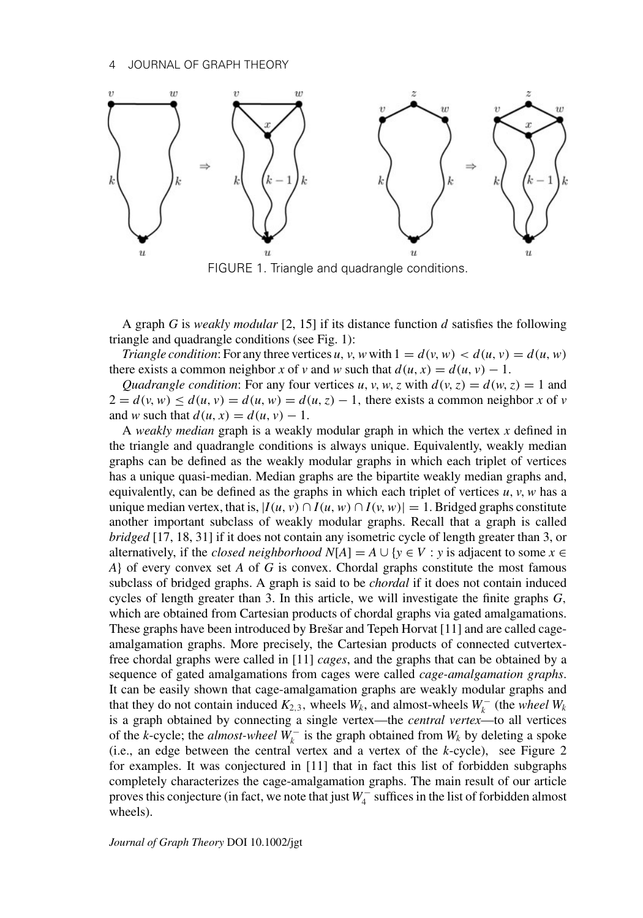

FIGURE 1. Triangle and quadrangle conditions.

A graph *G* is *weakly modular* [2, 15] if its distance function *d* satisfies the following triangle and quadrangle conditions (see Fig. 1):

*Triangle condition*: For any three vertices *u*, *v*, *w* with  $1 = d(v, w) < d(u, v) = d(u, w)$ there exists a common neighbor *x* of *v* and *w* such that  $d(u, x) = d(u, v) - 1$ .

*Quadrangle condition*: For any four vertices *u*, *v*, *w*, *z* with  $d(v, z) = d(w, z) = 1$  and  $2 = d(v, w) \leq d(u, v) = d(u, w) = d(u, z) - 1$ , there exists a common neighbor *x* of *v* and *w* such that  $d(u, x) = d(u, v) - 1$ .

A *weakly median* graph is a weakly modular graph in which the vertex *x* defined in the triangle and quadrangle conditions is always unique. Equivalently, weakly median graphs can be defined as the weakly modular graphs in which each triplet of vertices has a unique quasi-median. Median graphs are the bipartite weakly median graphs and, equivalently, can be defined as the graphs in which each triplet of vertices  $u, v, w$  has a unique median vertex, that is,  $|I(u, v) \cap I(u, w) \cap I(v, w)| = 1$ . Bridged graphs constitute another important subclass of weakly modular graphs. Recall that a graph is called *bridged* [17, 18, 31] if it does not contain any isometric cycle of length greater than 3, or alternatively, if the *closed neighborhood*  $N[A] = A \cup \{y \in V : y \text{ is adjacent to some } x \in V\}$ *A*} of every convex set *A* of *G* is convex. Chordal graphs constitute the most famous subclass of bridged graphs. A graph is said to be *chordal* if it does not contain induced cycles of length greater than 3. In this article, we will investigate the finite graphs *G*, which are obtained from Cartesian products of chordal graphs via gated amalgamations. These graphs have been introduced by Brešar and Tepeh Horvat [11] and are called cageamalgamation graphs. More precisely, the Cartesian products of connected cutvertexfree chordal graphs were called in [11] *cages*, and the graphs that can be obtained by a sequence of gated amalgamations from cages were called *cage-amalgamation graphs*. It can be easily shown that cage-amalgamation graphs are weakly modular graphs and that they do not contain induced  $K_{2,3}$ , wheels  $W_k$ , and almost-wheels  $W_k^-$  (the *wheel*  $W_k$ is a graph obtained by connecting a single vertex—the *central vertex*—to all vertices of the *k*-cycle; the *almost-wheel*  $W_k^-$  is the graph obtained from  $W_k$  by deleting a spoke (i.e., an edge between the central vertex and a vertex of the *k*-cycle), see Figure 2 for examples. It was conjectured in [11] that in fact this list of forbidden subgraphs completely characterizes the cage-amalgamation graphs. The main result of our article proves this conjecture (in fact, we note that just *W*<sub>4</sub><sup>−</sup> suffices in the list of forbidden almost wheels).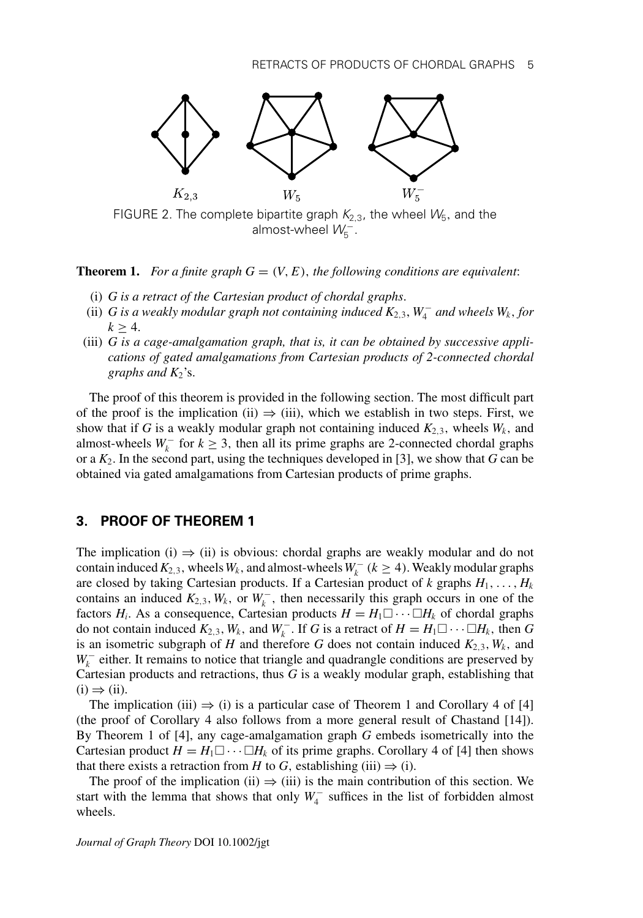

almost-wheel  $\mathcal{W}^{-1}_{5}$ .

**Theorem 1.** For a finite graph  $G = (V, E)$ , the following conditions are equivalent:

- (i) *G is a retract of the Cartesian product of chordal graphs*.
- (ii) *G* is a weakly modular graph not containing induced  $K_{2,3}$ ,  $W_4^-$  and wheels  $W_k$ , for  $k \geq 4$ .
- (iii) *G is a cage-amalgamation graph, that is, it can be obtained by successive applications of gated amalgamations from Cartesian products of 2-connected chordal graphs and*  $K_2$ 's.

The proof of this theorem is provided in the following section. The most difficult part of the proof is the implication (ii)  $\Rightarrow$  (iii), which we establish in two steps. First, we show that if *G* is a weakly modular graph not containing induced  $K_{2,3}$ , wheels  $W_k$ , and almost-wheels  $W_k^-$  for  $k \geq 3$ , then all its prime graphs are 2-connected chordal graphs or a *K*2. In the second part, using the techniques developed in [3], we show that *G* can be obtained via gated amalgamations from Cartesian products of prime graphs.

#### **3. PROOF OF THEOREM 1**

The implication (i)  $\Rightarrow$  (ii) is obvious: chordal graphs are weakly modular and do not contain induced  $K_{2,3}$ , wheels  $W_k$ , and almost-wheels  $W_k^-$  ( $k \ge 4$ ). Weakly modular graphs are closed by taking Cartesian products. If a Cartesian product of  $k$  graphs  $H_1, \ldots, H_k$ contains an induced  $K_{2,3}$ ,  $W_k$ , or  $W_k^-$ , then necessarily this graph occurs in one of the factors  $H_i$ . As a consequence, Cartesian products  $H = H_1 \Box \cdots \Box H_k$  of chordal graphs do not contain induced  $K_{2,3}$ ,  $W_k$ , and  $W_k^-$ . If *G* is a retract of  $H = H_1 \square \cdots \square H_k$ , then *G* is an isometric subgraph of *H* and therefore *G* does not contain induced  $K_{2,3}$ ,  $W_k$ , and *W*<sub>k</sub><sup>−</sup> either. It remains to notice that triangle and quadrangle conditions are preserved by Cartesian products and retractions, thus *G* is a weakly modular graph, establishing that  $(i) \Rightarrow (ii)$ .

The implication (iii)  $\Rightarrow$  (i) is a particular case of Theorem 1 and Corollary 4 of [4] (the proof of Corollary 4 also follows from a more general result of Chastand [14]). By Theorem 1 of [4], any cage-amalgamation graph *G* embeds isometrically into the Cartesian product  $H = H_1 \square \cdots \square H_k$  of its prime graphs. Corollary 4 of [4] then shows that there exists a retraction from *H* to *G*, establishing (iii)  $\Rightarrow$  (i).

The proof of the implication (ii)  $\Rightarrow$  (iii) is the main contribution of this section. We start with the lemma that shows that only  $W_4^-$  suffices in the list of forbidden almost wheels.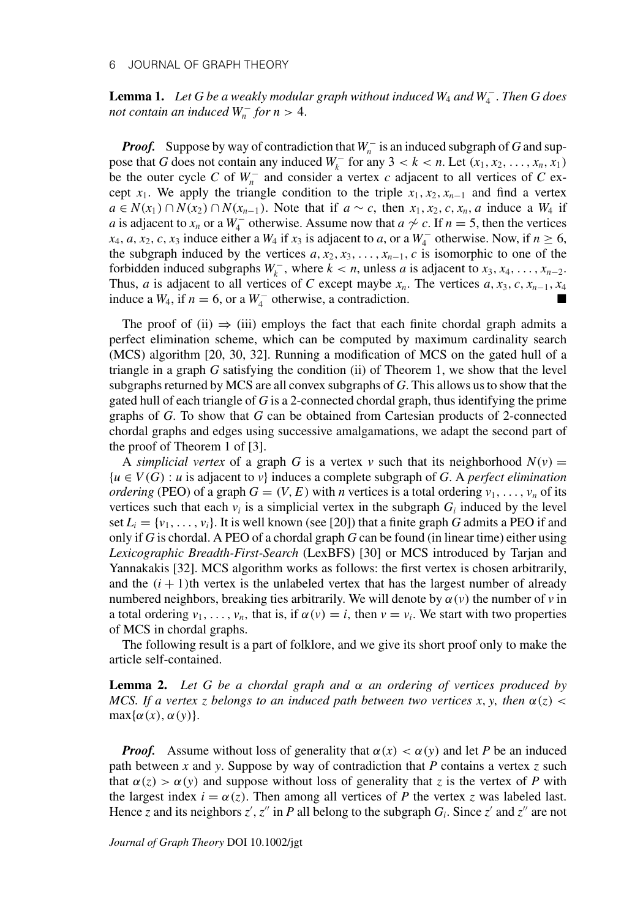**Lemma 1.** *Let G be a weakly modular graph without induced W*<sup>4</sup> *and W*<sup>−</sup> <sup>4</sup> . *Then G does not contain an induced*  $W_n^-$  *for n* > 4.

*Proof.* Suppose by way of contradiction that  $W_n^-$  is an induced subgraph of *G* and suppose that *G* does not contain any induced  $W_k^-$  for any 3 < *k* < *n*. Let  $(x_1, x_2, ..., x_n, x_1)$ be the outer cycle *C* of  $W_n^-$  and consider a vertex *c* adjacent to all vertices of *C* except  $x_1$ . We apply the triangle condition to the triple  $x_1, x_2, x_{n-1}$  and find a vertex *a* ∈ *N*(*x*<sub>1</sub>) ∩ *N*(*x*<sub>2</sub>) ∩ *N*(*x*<sub>*n*−1</sub>). Note that if *a* ∼ *c*, then *x*<sub>1</sub>, *x*<sub>2</sub>, *c*, *x<sub>n</sub>*, *a* induce a *W*<sub>4</sub> if *a* is adjacent to *x<sub>n</sub>* or a  $W_4^-$  otherwise. Assume now that  $a \nsim c$ . If  $n = 5$ , then the vertices  $x_4$ , *a*,  $x_2$ , *c*,  $x_3$  induce either a  $W_4$  if  $x_3$  is adjacent to *a*, or a  $W_4^-$  otherwise. Now, if  $n \ge 6$ , the subgraph induced by the vertices  $a, x_2, x_3, \ldots, x_{n-1}, c$  is isomorphic to one of the forbidden induced subgraphs  $W_k^-$ , where  $k < n$ , unless *a* is adjacent to  $x_3, x_4, \ldots, x_{n-2}$ . Thus, *a* is adjacent to all vertices of *C* except maybe  $x_n$ . The vertices  $a, x_3, c, x_{n-1}, x_4$ induce a  $W_4$ , if  $n = 6$ , or a  $W_4^-$  otherwise, a contradiction. ■

The proof of (ii)  $\Rightarrow$  (iii) employs the fact that each finite chordal graph admits a perfect elimination scheme, which can be computed by maximum cardinality search (MCS) algorithm [20, 30, 32]. Running a modification of MCS on the gated hull of a triangle in a graph *G* satisfying the condition (ii) of Theorem 1, we show that the level subgraphs returned by MCS are all convex subgraphs of *G*. This allows us to show that the gated hull of each triangle of *G* is a 2-connected chordal graph, thus identifying the prime graphs of *G*. To show that *G* can be obtained from Cartesian products of 2-connected chordal graphs and edges using successive amalgamations, we adapt the second part of the proof of Theorem 1 of [3].

A *simplicial vertex* of a graph G is a vertex *v* such that its neighborhood  $N(v) =$ {*u* ∈ *V*(*G*) : *u* is adjacent to *v*} induces a complete subgraph of *G*. A *perfect elimination ordering* (PEO) of a graph  $G = (V, E)$  with *n* vertices is a total ordering  $v_1, \ldots, v_n$  of its vertices such that each  $v_i$  is a simplicial vertex in the subgraph  $G_i$  induced by the level set  $L_i = \{v_1, \ldots, v_i\}$ . It is well known (see [20]) that a finite graph *G* admits a PEO if and only if *G* is chordal. A PEO of a chordal graph *G* can be found (in linear time) either using *Lexicographic Breadth-First-Search* (LexBFS) [30] or MCS introduced by Tarjan and Yannakakis [32]. MCS algorithm works as follows: the first vertex is chosen arbitrarily, and the  $(i + 1)$ th vertex is the unlabeled vertex that has the largest number of already numbered neighbors, breaking ties arbitrarily. We will denote by  $\alpha(v)$  the number of *v* in a total ordering  $v_1, \ldots, v_n$ , that is, if  $\alpha(v) = i$ , then  $v = v_i$ . We start with two properties of MCS in chordal graphs.

The following result is a part of folklore, and we give its short proof only to make the article self-contained.

**Lemma 2.** *Let G be a chordal graph and* α *an ordering of vertices produced by MCS. If a vertex z belongs to an induced path between two vertices x, y, then*  $\alpha(z)$  <  $max{\alpha(x), \alpha(y)}.$ 

*Proof.* Assume without loss of generality that  $\alpha(x) < \alpha(y)$  and let *P* be an induced path between *x* and *y*. Suppose by way of contradiction that *P* contains a vertex *z* such that  $\alpha(z) > \alpha(y)$  and suppose without loss of generality that *z* is the vertex of *P* with the largest index  $i = \alpha(z)$ . Then among all vertices of *P* the vertex *z* was labeled last. Hence *z* and its neighbors *z'*, *z''* in *P* all belong to the subgraph  $G_i$ . Since *z'* and *z''* are not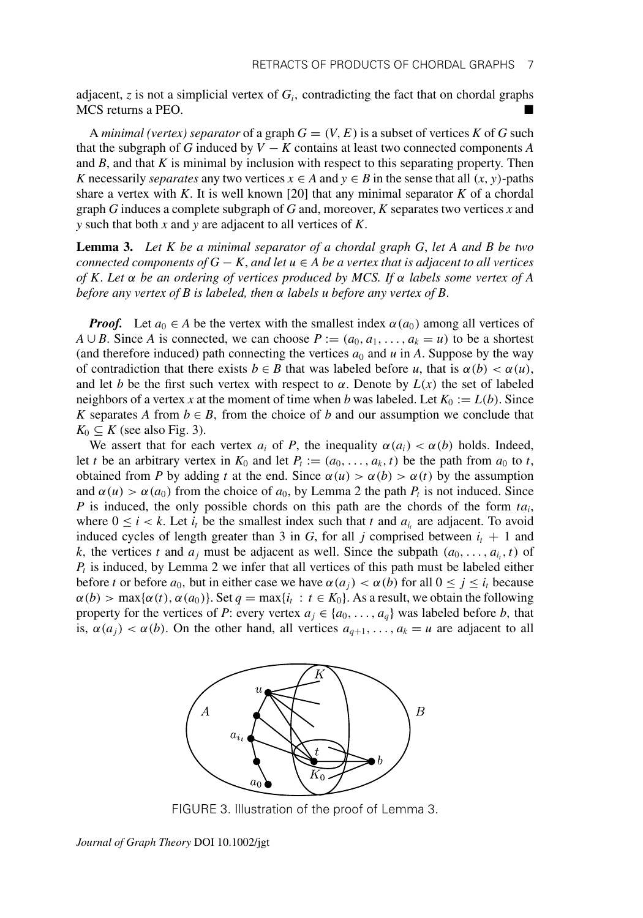adjacent,  $z$  is not a simplicial vertex of  $G_i$ , contradicting the fact that on chordal graphs MCS returns a PEO.

A *minimal (vertex) separator* of a graph  $G = (V, E)$  is a subset of vertices K of G such that the subgraph of *G* induced by  $V - K$  contains at least two connected components *A* and *B*, and that *K* is minimal by inclusion with respect to this separating property. Then *K* necessarily *separates* any two vertices  $x \in A$  and  $y \in B$  in the sense that all  $(x, y)$ -paths share a vertex with *K*. It is well known [20] that any minimal separator *K* of a chordal graph *G* induces a complete subgraph of *G* and, moreover, *K* separates two vertices *x* and *y* such that both *x* and *y* are adjacent to all vertices of *K*.

**Lemma 3.** *Let K be a minimal separator of a chordal graph G*, *let A and B be two connected components of G* − *K*, *and let u* ∈ *A be a vertex that is adjacent to all vertices of K*. *Let* α *be an ordering of vertices produced by MCS. If* α *labels some vertex of A before any vertex of B is labeled, then* α *labels u before any vertex of B*.

*Proof.* Let  $a_0 \in A$  be the vertex with the smallest index  $\alpha(a_0)$  among all vertices of *A* ∪ *B*. Since *A* is connected, we can choose  $P := (a_0, a_1, \ldots, a_k = u)$  to be a shortest (and therefore induced) path connecting the vertices  $a_0$  and  $u$  in A. Suppose by the way of contradiction that there exists  $b \in B$  that was labeled before *u*, that is  $\alpha(b) < \alpha(u)$ , and let *b* be the first such vertex with respect to  $\alpha$ . Denote by  $L(x)$  the set of labeled neighbors of a vertex *x* at the moment of time when *b* was labeled. Let  $K_0 := L(b)$ . Since *K* separates *A* from  $b \in B$ , from the choice of *b* and our assumption we conclude that  $K_0 \subseteq K$  (see also Fig. 3).

We assert that for each vertex  $a_i$  of P, the inequality  $\alpha(a_i) < \alpha(b)$  holds. Indeed, let *t* be an arbitrary vertex in  $K_0$  and let  $P_t := (a_0, \ldots, a_k, t)$  be the path from  $a_0$  to *t*, obtained from *P* by adding *t* at the end. Since  $\alpha(u) > \alpha(b) > \alpha(t)$  by the assumption and  $\alpha(u) > \alpha(a_0)$  from the choice of  $a_0$ , by Lemma 2 the path  $P_t$  is not induced. Since *P* is induced, the only possible chords on this path are the chords of the form *tai*, where  $0 \le i < k$ . Let  $i_t$  be the smallest index such that *t* and  $a_i$  are adjacent. To avoid induced cycles of length greater than 3 in *G*, for all *j* comprised between  $i_t + 1$  and *k*, the vertices *t* and  $a_j$  must be adjacent as well. Since the subpath  $(a_0, \ldots, a_i, t)$  of  $P_t$  is induced, by Lemma 2 we infer that all vertices of this path must be labeled either before *t* or before  $a_0$ , but in either case we have  $\alpha(a_i) < \alpha(b)$  for all  $0 \le i \le i_t$  because  $\alpha(b)$  > max $\{\alpha(t), \alpha(a_0)\}\$ . Set  $q = \max\{i_t : t \in K_0\}$ . As a result, we obtain the following property for the vertices of *P*: every vertex  $a_j \in \{a_0, \ldots, a_q\}$  was labeled before *b*, that is,  $\alpha(a_i) < \alpha(b)$ . On the other hand, all vertices  $a_{q+1}, \ldots, a_k = u$  are adjacent to all



FIGURE 3. Illustration of the proof of Lemma 3.

*Journal of Graph Theory* DOI 10.1002/jgt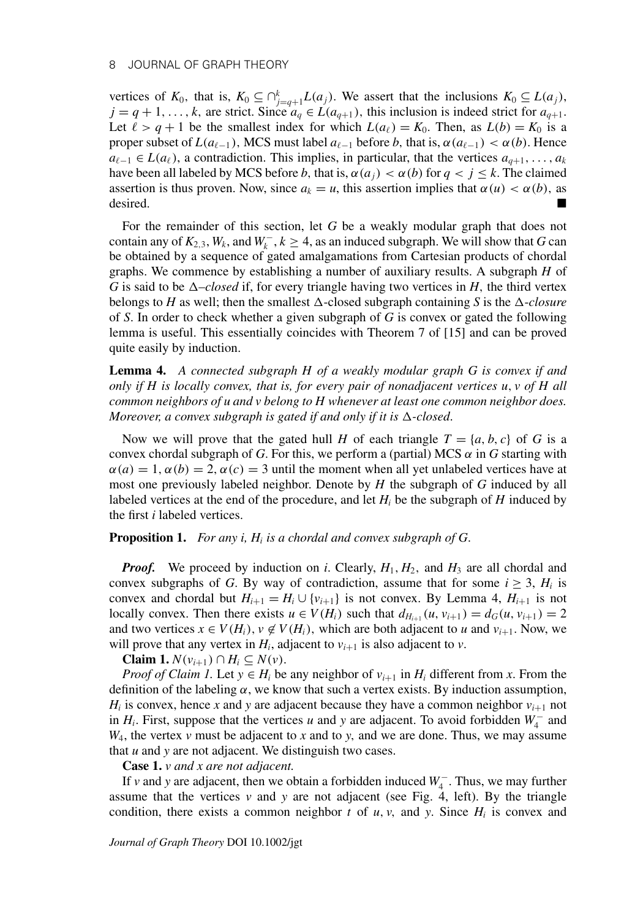vertices of  $K_0$ , that is,  $K_0 \subseteq \bigcap_{j=q+1}^k L(a_j)$ . We assert that the inclusions  $K_0 \subseteq L(a_j)$ ,  $j = q + 1, \ldots, k$ , are strict. Since  $a_q \in L(a_{q+1})$ , this inclusion is indeed strict for  $a_{q+1}$ . Let  $\ell > q + 1$  be the smallest index for which  $L(a_{\ell}) = K_0$ . Then, as  $L(b) = K_0$  is a proper subset of  $L(a_{\ell-1})$ , MCS must label  $a_{\ell-1}$  before *b*, that is,  $\alpha(a_{\ell-1}) < \alpha(b)$ . Hence  $a_{\ell-1} \in L(a_{\ell})$ , a contradiction. This implies, in particular, that the vertices  $a_{q+1}, \ldots, a_{k}$ have been all labeled by MCS before *b*, that is,  $\alpha(a_i) < \alpha(b)$  for  $q < j \leq k$ . The claimed assertion is thus proven. Now, since  $a_k = u$ , this assertion implies that  $\alpha(u) < \alpha(b)$ , as desired.

For the remainder of this section, let *G* be a weakly modular graph that does not contain any of  $K_{2,3}$ ,  $W_k$ , and  $W_k^-, k \ge 4$ , as an induced subgraph. We will show that *G* can be obtained by a sequence of gated amalgamations from Cartesian products of chordal graphs. We commence by establishing a number of auxiliary results. A subgraph *H* of *G* is said to be  $\Delta$ –*closed* if, for every triangle having two vertices in *H*, the third vertex belongs to *H* as well; then the smallest  $\Delta$ -closed subgraph containing *S* is the  $\Delta$ -closure of *S*. In order to check whether a given subgraph of *G* is convex or gated the following lemma is useful. This essentially coincides with Theorem 7 of [15] and can be proved quite easily by induction.

**Lemma 4.** *A connected subgraph H of a weakly modular graph G is convex if and only if H is locally convex, that is, for every pair of nonadjacent vertices u*, *v of H all common neighbors of u and v belong to H whenever at least one common neighbor does. Moreover, a convex subgraph is gated if and only if it is*  $\Delta$ -closed.

Now we will prove that the gated hull *H* of each triangle  $T = \{a, b, c\}$  of *G* is a convex chordal subgraph of *G*. For this, we perform a (partial) MCS  $\alpha$  in *G* starting with  $\alpha(a) = 1, \alpha(b) = 2, \alpha(c) = 3$  until the moment when all yet unlabeled vertices have at most one previously labeled neighbor. Denote by *H* the subgraph of *G* induced by all labeled vertices at the end of the procedure, and let  $H_i$  be the subgraph of  $H$  induced by the first *i* labeled vertices.

**Proposition 1.** *For any i, Hi is a chordal and convex subgraph of G*.

*Proof.* We proceed by induction on *i*. Clearly,  $H_1$ ,  $H_2$ , and  $H_3$  are all chordal and convex subgraphs of *G*. By way of contradiction, assume that for some  $i \geq 3$ ,  $H_i$  is convex and chordal but  $H_{i+1} = H_i \cup \{v_{i+1}\}\$ is not convex. By Lemma 4,  $H_{i+1}$  is not locally convex. Then there exists  $u \in V(H_i)$  such that  $d_{H_{i+1}}(u, v_{i+1}) = d_G(u, v_{i+1}) = 2$ and two vertices  $x \in V(H_i)$ ,  $v \notin V(H_i)$ , which are both adjacent to *u* and  $v_{i+1}$ . Now, we will prove that any vertex in  $H_i$ , adjacent to  $v_{i+1}$  is also adjacent to  $v$ .

**Claim 1.**  $N(v_{i+1})$  ∩  $H_i$  ⊆  $N(v)$ .

*Proof of Claim 1.* Let  $y \in H_i$  be any neighbor of  $v_{i+1}$  in  $H_i$  different from x. From the definition of the labeling  $\alpha$ , we know that such a vertex exists. By induction assumption,  $H_i$  is convex, hence *x* and *y* are adjacent because they have a common neighbor  $v_{i+1}$  not in  $H_i$ . First, suppose that the vertices *u* and *y* are adjacent. To avoid forbidden  $W_4^-$  and  $W_4$ , the vertex  $v$  must be adjacent to  $x$  and to  $y$ , and we are done. Thus, we may assume that *u* and *y* are not adjacent. We distinguish two cases.

**Case 1.** *v and x are not adjacent.*

If *v* and *y* are adjacent, then we obtain a forbidden induced *W*<sup>−</sup> <sup>4</sup> . Thus, we may further assume that the vertices  $v$  and  $y$  are not adjacent (see Fig. 4, left). By the triangle condition, there exists a common neighbor  $t$  of  $u$ ,  $v$ , and  $y$ . Since  $H_i$  is convex and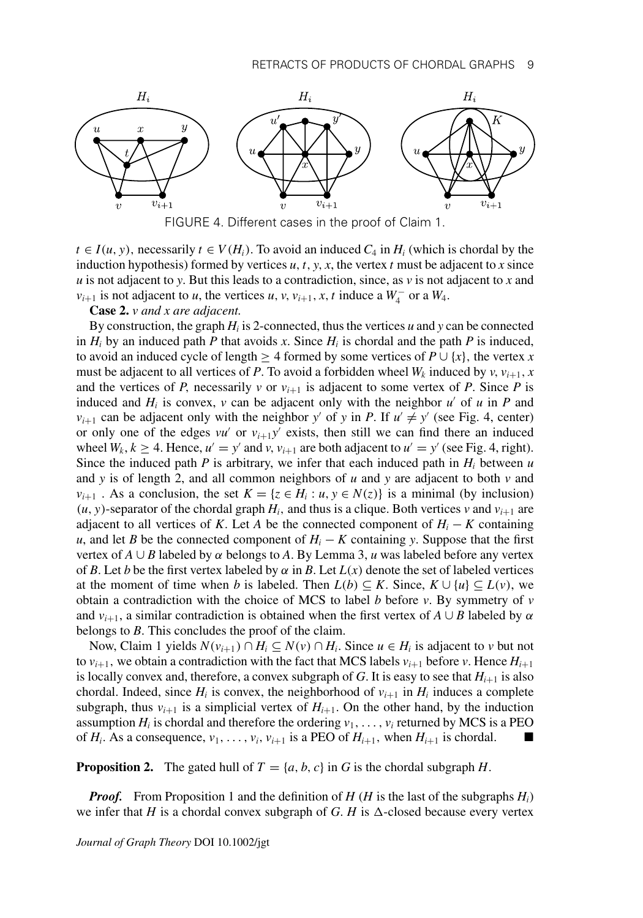



 $t \in I(u, y)$ , necessarily  $t \in V(H_i)$ . To avoid an induced  $C_4$  in  $H_i$  (which is chordal by the induction hypothesis) formed by vertices  $u$ ,  $t$ ,  $y$ ,  $x$ , the vertex  $t$  must be adjacent to  $x$  since *u* is not adjacent to *y*. But this leads to a contradiction, since, as *v* is not adjacent to *x* and *v*<sub>i+1</sub> is not adjacent to *u*, the vertices *u*, *v*, *v*<sub>*i*+1</sub>, *x*, *t* induce a  $W_4^-$  or a  $W_4$ .

**Case 2.** *v and x are adjacent.*

By construction, the graph *Hi* is 2-connected, thus the vertices *u* and *y* can be connected in  $H_i$  by an induced path *P* that avoids *x*. Since  $H_i$  is chordal and the path *P* is induced, to avoid an induced cycle of length  $\geq 4$  formed by some vertices of  $P \cup \{x\}$ , the vertex *x* must be adjacent to all vertices of *P*. To avoid a forbidden wheel  $W_k$  induced by  $v$ ,  $v_{i+1}$ ,  $x$ and the vertices of *P*, necessarily *v* or  $v_{i+1}$  is adjacent to some vertex of *P*. Since *P* is induced and  $H_i$  is convex,  $\nu$  can be adjacent only with the neighbor  $u'$  of  $u$  in  $P$  and  $v_{i+1}$  can be adjacent only with the neighbor *y'* of *y* in *P*. If  $u' \neq y'$  (see Fig. 4, center) or only one of the edges  $vu'$  or  $v_{i+1}y'$  exists, then still we can find there an induced wheel  $W_k$ ,  $k \geq 4$ . Hence,  $u' = y'$  and  $v$ ,  $v_{i+1}$  are both adjacent to  $u' = y'$  (see Fig. 4, right). Since the induced path  $P$  is arbitrary, we infer that each induced path in  $H_i$  between  $u$ and *y* is of length 2, and all common neighbors of *u* and *y* are adjacent to both *v* and *v*<sub>*i*+1</sub>. As a conclusion, the set  $K = \{z \in H_i : u, y \in N(z)\}$  is a minimal (by inclusion)  $(u, y)$ -separator of the chordal graph  $H_i$ , and thus is a clique. Both vertices *v* and  $v_{i+1}$  are adjacent to all vertices of *K*. Let *A* be the connected component of  $H_i - K$  containing *u*, and let *B* be the connected component of  $H_i - K$  containing *y*. Suppose that the first vertex of  $A \cup B$  labeled by  $\alpha$  belongs to A. By Lemma 3,  $\mu$  was labeled before any vertex of *B*. Let *b* be the first vertex labeled by  $\alpha$  in *B*. Let  $L(x)$  denote the set of labeled vertices at the moment of time when *b* is labeled. Then  $L(b) \subseteq K$ . Since,  $K \cup \{u\} \subseteq L(v)$ , we obtain a contradiction with the choice of MCS to label *b* before *v*. By symmetry of *v* and  $v_{i+1}$ , a similar contradiction is obtained when the first vertex of  $A \cup B$  labeled by  $\alpha$ belongs to *B*. This concludes the proof of the claim.

Now, Claim 1 yields  $N(v_{i+1}) ∩ H_i ⊆ N(v) ∩ H_i$ . Since  $u ∈ H_i$  is adjacent to *v* but not to  $v_{i+1}$ , we obtain a contradiction with the fact that MCS labels  $v_{i+1}$  before *v*. Hence  $H_{i+1}$ is locally convex and, therefore, a convex subgraph of  $G$ . It is easy to see that  $H_{i+1}$  is also chordal. Indeed, since  $H_i$  is convex, the neighborhood of  $v_{i+1}$  in  $H_i$  induces a complete subgraph, thus  $v_{i+1}$  is a simplicial vertex of  $H_{i+1}$ . On the other hand, by the induction assumption  $H_i$  is chordal and therefore the ordering  $v_1, \ldots, v_i$  returned by MCS is a PEO of  $H_i$ . As a consequence,  $v_1, \ldots, v_i, v_{i+1}$  is a PEO of  $H_{i+1}$ , when  $H_{i+1}$  is chordal.

**Proposition 2.** The gated hull of  $T = \{a, b, c\}$  in G is the chordal subgraph H.

*Proof.* From Proposition 1 and the definition of *H* (*H* is the last of the subgraphs  $H_i$ ) we infer that *H* is a chordal convex subgraph of *G*. *H* is  $\Delta$ -closed because every vertex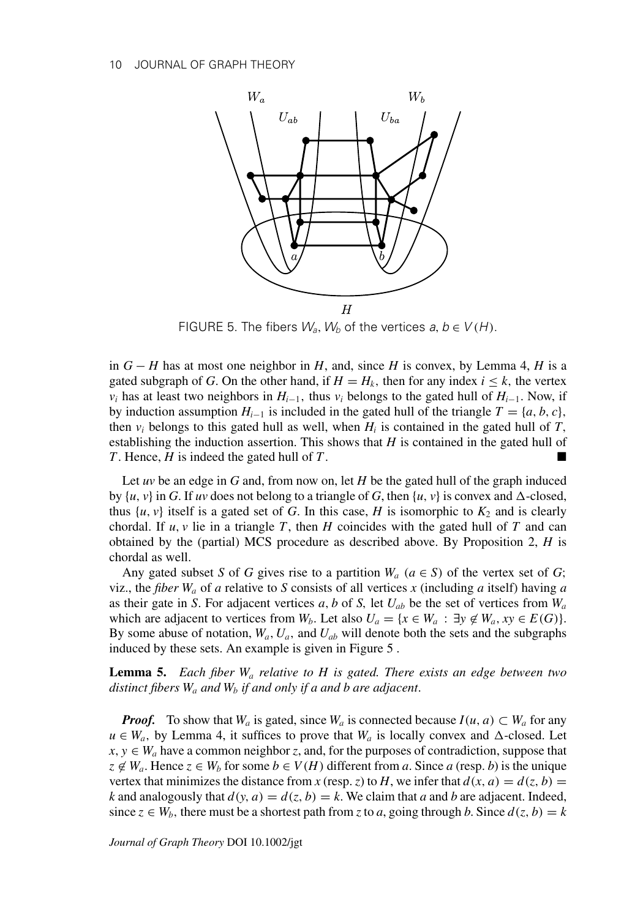

FIGURE 5. The fibers  $W_a$ ,  $W_b$  of the vertices  $a, b \in V(H)$ .

in  $G - H$  has at most one neighbor in *H*, and, since *H* is convex, by Lemma 4, *H* is a gated subgraph of *G*. On the other hand, if  $H = H_k$ , then for any index  $i \leq k$ , the vertex *v<sub>i</sub>* has at least two neighbors in  $H_{i-1}$ , thus *v<sub>i</sub>* belongs to the gated hull of  $H_{i-1}$ . Now, if by induction assumption  $H_{i-1}$  is included in the gated hull of the triangle  $T = \{a, b, c\}$ , then  $v_i$  belongs to this gated hull as well, when  $H_i$  is contained in the gated hull of  $T$ , establishing the induction assertion. This shows that *H* is contained in the gated hull of *T*. Hence, *H* is indeed the gated hull of *T*.

Let *uv* be an edge in *G* and, from now on, let *H* be the gated hull of the graph induced by  $\{u, v\}$  in *G*. If *uv* does not belong to a triangle of *G*, then  $\{u, v\}$  is convex and  $\Delta$ -closed, thus  $\{u, v\}$  itself is a gated set of *G*. In this case, *H* is isomorphic to  $K_2$  and is clearly chordal. If  $u, v$  lie in a triangle  $T$ , then  $H$  coincides with the gated hull of  $T$  and can obtained by the (partial) MCS procedure as described above. By Proposition 2, *H* is chordal as well.

Any gated subset *S* of *G* gives rise to a partition  $W_a$  ( $a \in S$ ) of the vertex set of *G*; viz., the *fiber*  $W_a$  of *a* relative to *S* consists of all vertices *x* (including *a* itself) having *a* as their gate in *S*. For adjacent vertices *a*, *b* of *S*, let *Uab* be the set of vertices from *Wa* which are adjacent to vertices from  $W_b$ . Let also  $U_a = \{x \in W_a : \exists y \notin W_a, xy \in E(G)\}.$ By some abuse of notation,  $W_a$ ,  $U_a$ , and  $U_{ab}$  will denote both the sets and the subgraphs induced by these sets. An example is given in Figure 5 .

**Lemma 5.** *Each fiber Wa relative to H is gated. There exists an edge between two distinct fibers Wa and Wb if and only if a and b are adjacent*.

*Proof.* To show that  $W_a$  is gated, since  $W_a$  is connected because  $I(u, a) \subset W_a$  for any  $u \in W_a$ , by Lemma 4, it suffices to prove that  $W_a$  is locally convex and  $\Delta$ -closed. Let  $x, y \in W_a$  have a common neighbor *z*, and, for the purposes of contradiction, suppose that  $z \notin W_a$ . Hence  $z \in W_b$  for some  $b \in V(H)$  different from *a*. Since *a* (resp. *b*) is the unique vertex that minimizes the distance from *x* (resp. *z*) to *H*, we infer that  $d(x, a) = d(z, b)$ *k* and analogously that  $d(y, a) = d(z, b) = k$ . We claim that *a* and *b* are adjacent. Indeed, since  $z \in W_b$ , there must be a shortest path from *z* to *a*, going through *b*. Since  $d(z, b) = k$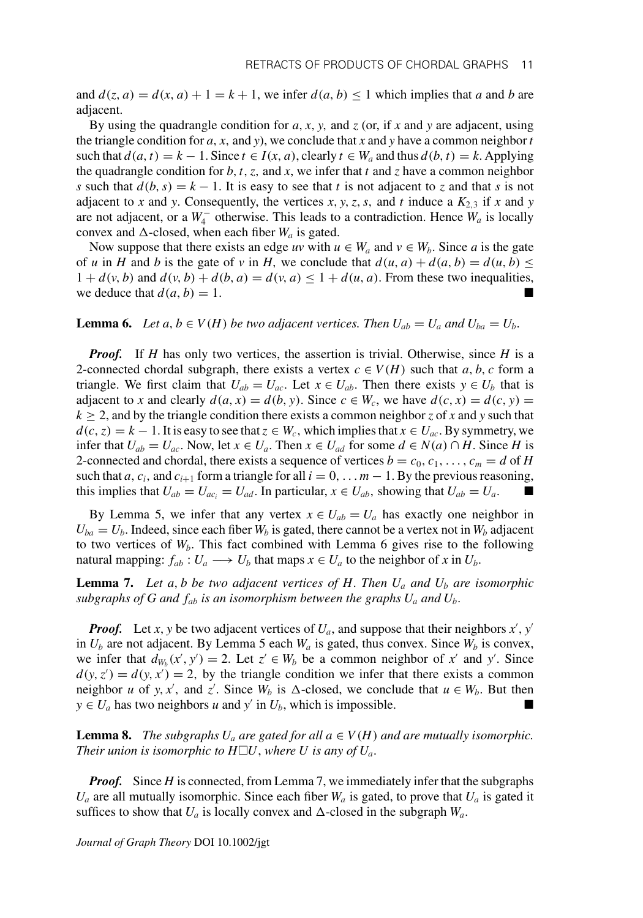and  $d(z, a) = d(x, a) + 1 = k + 1$ , we infer  $d(a, b) \le 1$  which implies that *a* and *b* are adjacent.

By using the quadrangle condition for  $a$ ,  $x$ ,  $y$ , and  $z$  (or, if  $x$  and  $y$  are adjacent, using the triangle condition for  $a$ ,  $x$ , and  $y$ ), we conclude that  $x$  and  $y$  have a common neighbor  $t$ such that  $d(a, t) = k - 1$ . Since  $t \in I(x, a)$ , clearly  $t \in W_a$  and thus  $d(b, t) = k$ . Applying the quadrangle condition for  $b$ ,  $t$ ,  $z$ , and  $x$ , we infer that  $t$  and  $z$  have a common neighbor *s* such that  $d(b, s) = k - 1$ . It is easy to see that *t* is not adjacent to *z* and that *s* is not adjacent to *x* and *y*. Consequently, the vertices *x*, *y*, *z*, *s*, and *t* induce a  $K_{2,3}$  if *x* and *y* are not adjacent, or a  $W_4^-$  otherwise. This leads to a contradiction. Hence  $W_a$  is locally convex and  $\Delta$ -closed, when each fiber  $W_a$  is gated.

Now suppose that there exists an edge *uv* with  $u \in W_a$  and  $v \in W_b$ . Since *a* is the gate of *u* in *H* and *b* is the gate of *v* in *H*, we conclude that  $d(u, a) + d(a, b) = d(u, b) \le$  $1 + d(v, b)$  and  $d(v, b) + d(b, a) = d(v, a) \leq 1 + d(u, a)$ . From these two inequalities, we deduce that  $d(a, b) = 1$ .

**Lemma 6.** *Let a, b*  $\in$  *V*(*H*) *be two adjacent vertices. Then*  $U_{ab} = U_a$  *and*  $U_{ba} = U_b$ *.* 

*Proof.* If *H* has only two vertices, the assertion is trivial. Otherwise, since *H* is a 2-connected chordal subgraph, there exists a vertex  $c \in V(H)$  such that *a*, *b*, *c* form a triangle. We first claim that  $U_{ab} = U_{ac}$ . Let  $x \in U_{ab}$ . Then there exists  $y \in U_b$  that is adjacent to *x* and clearly  $d(a, x) = d(b, y)$ . Since  $c \in W_c$ , we have  $d(c, x) = d(c, y)$  $k \ge 2$ , and by the triangle condition there exists a common neighbor *z* of *x* and *y* such that  $d(c, z) = k - 1$ . It is easy to see that  $z \in W_c$ , which implies that  $x \in U_{ac}$ . By symmetry, we infer that  $U_{ab} = U_{ac}$ . Now, let  $x \in U_a$ . Then  $x \in U_{ad}$  for some  $d \in N(a) \cap H$ . Since *H* is 2-connected and chordal, there exists a sequence of vertices  $b = c_0, c_1, \ldots, c_m = d$  of *H* such that *a*,  $c_i$ , and  $c_{i+1}$  form a triangle for all  $i = 0, \ldots m - 1$ . By the previous reasoning, this implies that  $U_{ab} = U_{ac_i} = U_{ad}$ . In particular,  $x \in U_{ab}$ , showing that  $U_{ab} = U_a$ .

By Lemma 5, we infer that any vertex  $x \in U_{ab} = U_a$  has exactly one neighbor in  $U_{ba} = U_b$ . Indeed, since each fiber  $W_b$  is gated, there cannot be a vertex not in  $W_b$  adjacent to two vertices of  $W_b$ . This fact combined with Lemma 6 gives rise to the following natural mapping:  $f_{ab}: U_a \longrightarrow U_b$  that maps  $x \in U_a$  to the neighbor of x in  $U_b$ .

**Lemma 7.** Let a, b be two adjacent vertices of H. Then  $U_a$  and  $U_b$  are isomorphic *subgraphs of G and*  $f_{ab}$  *is an isomorphism between the graphs*  $U_a$  *and*  $U_b$ *.* 

*Proof.* Let *x*, *y* be two adjacent vertices of  $U_a$ , and suppose that their neighbors  $x'$ ,  $y'$ in  $U_b$  are not adjacent. By Lemma 5 each  $W_a$  is gated, thus convex. Since  $W_b$  is convex, we infer that  $d_{W_b}(x', y') = 2$ . Let  $z' \in W_b$  be a common neighbor of x' and y'. Since  $d(y, z') = d(y, x') = 2$ , by the triangle condition we infer that there exists a common neighbor *u* of *y*, *x*<sup>'</sup>, and *z*'. Since  $W_b$  is  $\Delta$ -closed, we conclude that  $u \in W_b$ . But then  $y \in U_a$  has two neighbors *u* and *y'* in  $U_b$ , which is impossible.

**Lemma 8.** *The subgraphs*  $U_a$  *are gated for all*  $a \in V(H)$  *and are mutually isomorphic. Their union is isomorphic to H* $\Box U$ , *where U is any of*  $U_a$ .

*Proof.* Since *H* is connected, from Lemma 7, we immediately infer that the subgraphs  $U_a$  are all mutually isomorphic. Since each fiber  $W_a$  is gated, to prove that  $U_a$  is gated it suffices to show that  $U_a$  is locally convex and  $\Delta$ -closed in the subgraph  $W_a$ .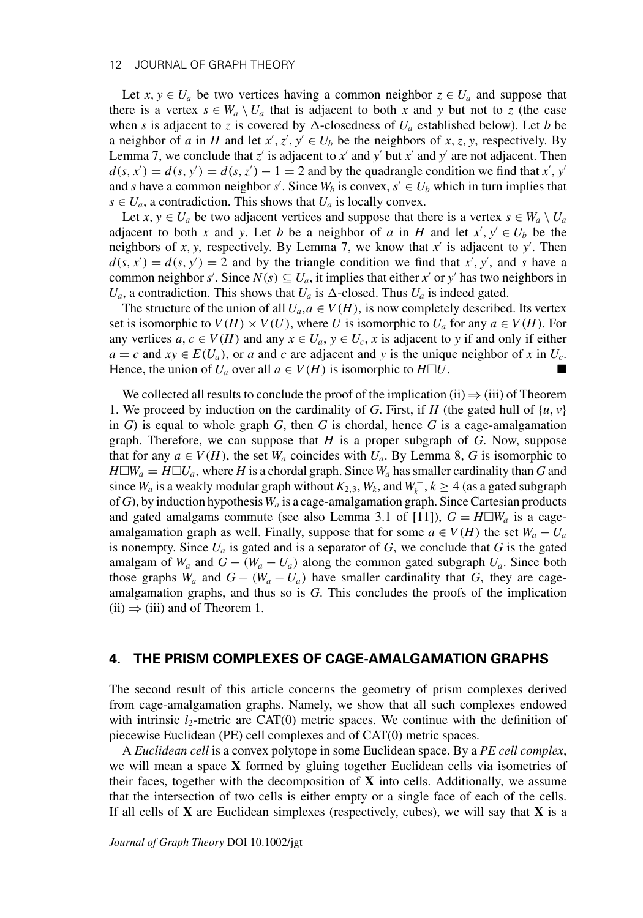#### 12 JOURNAL OF GRAPH THEORY

Let  $x, y \in U_a$  be two vertices having a common neighbor  $z \in U_a$  and suppose that there is a vertex  $s \in W_a \setminus U_a$  that is adjacent to both x and y but not to z (the case when *s* is adjacent to *z* is covered by  $\Delta$ -closedness of  $U_a$  established below). Let *b* be a neighbor of *a* in *H* and let  $x'$ ,  $z'$ ,  $y' \in U_b$  be the neighbors of *x*, *z*, *y*, respectively. By Lemma 7, we conclude that  $z'$  is adjacent to  $x'$  and  $y'$  but  $x'$  and  $y'$  are not adjacent. Then  $d(s, x') = d(s, y') = d(s, z') - 1 = 2$  and by the quadrangle condition we find that *x*<sup>'</sup>, *y*<sup>'</sup> and *s* have a common neighbor *s'*. Since  $W_b$  is convex,  $s' \in U_b$  which in turn implies that  $s \in U_a$ , a contradiction. This shows that  $U_a$  is locally convex.

Let  $x, y \in U_a$  be two adjacent vertices and suppose that there is a vertex  $s \in W_a \setminus U_a$ adjacent to both *x* and *y*. Let *b* be a neighbor of *a* in *H* and let  $x', y' \in U_b$  be the neighbors of *x*, *y*, respectively. By Lemma 7, we know that  $x'$  is adjacent to  $y'$ . Then  $d(s, x') = d(s, y') = 2$  and by the triangle condition we find that x', y', and s have a common neighbor *s'*. Since  $N(s) \subseteq U_a$ , it implies that either *x'* or *y'* has two neighbors in  $U_a$ , a contradiction. This shows that  $U_a$  is  $\Delta$ -closed. Thus  $U_a$  is indeed gated.

The structure of the union of all  $U_a$ ,  $a \in V(H)$ , is now completely described. Its vertex set is isomorphic to  $V(H) \times V(U)$ , where *U* is isomorphic to  $U_a$  for any  $a \in V(H)$ . For any vertices  $a, c \in V(H)$  and any  $x \in U_a$ ,  $y \in U_c$ , x is adjacent to y if and only if either  $a = c$  and  $xy \in E(U_a)$ , or *a* and *c* are adjacent and *y* is the unique neighbor of *x* in  $U_c$ . Hence, the union of  $U_a$  over all  $a \in V(H)$  is isomorphic to  $H\square U$ . *U*.

We collected all results to conclude the proof of the implication (ii)  $\Rightarrow$  (iii) of Theorem 1. We proceed by induction on the cardinality of *G*. First, if *H* (the gated hull of {*u*, *v*} in  $G$ ) is equal to whole graph  $G$ , then  $G$  is chordal, hence  $G$  is a cage-amalgamation graph. Therefore, we can suppose that *H* is a proper subgraph of *G*. Now, suppose that for any  $a \in V(H)$ , the set  $W_a$  coincides with  $U_a$ . By Lemma 8, *G* is isomorphic to  $H\square W_a = H\square U_a$ , where *H* is a chordal graph. Since  $W_a$  has smaller cardinality than *G* and since  $W_a$  is a weakly modular graph without  $K_{2,3}$ ,  $W_k$ , and  $W_k^-, k \ge 4$  (as a gated subgraph of *G*), by induction hypothesis*Wa* is a cage-amalgamation graph. Since Cartesian products and gated amalgams commute (see also Lemma 3.1 of [11]),  $G = H \square W_a$  is a cageamalgamation graph as well. Finally, suppose that for some  $a \in V(H)$  the set  $W_a - U_a$ is nonempty. Since  $U_a$  is gated and is a separator of  $G$ , we conclude that  $G$  is the gated amalgam of  $W_a$  and  $G - (W_a - U_a)$  along the common gated subgraph  $U_a$ . Since both those graphs  $W_a$  and  $G - (W_a - U_a)$  have smaller cardinality that  $G$ , they are cageamalgamation graphs, and thus so is *G*. This concludes the proofs of the implication  $(ii) \Rightarrow (iii)$  and of Theorem 1.

#### **4. THE PRISM COMPLEXES OF CAGE-AMALGAMATION GRAPHS**

The second result of this article concerns the geometry of prism complexes derived from cage-amalgamation graphs. Namely, we show that all such complexes endowed with intrinsic  $l_2$ -metric are CAT(0) metric spaces. We continue with the definition of piecewise Euclidean (PE) cell complexes and of CAT(0) metric spaces.

A *Euclidean cell* is a convex polytope in some Euclidean space. By a *PE cell complex*, we will mean a space **X** formed by gluing together Euclidean cells via isometries of their faces, together with the decomposition of **X** into cells. Additionally, we assume that the intersection of two cells is either empty or a single face of each of the cells. If all cells of **X** are Euclidean simplexes (respectively, cubes), we will say that **X** is a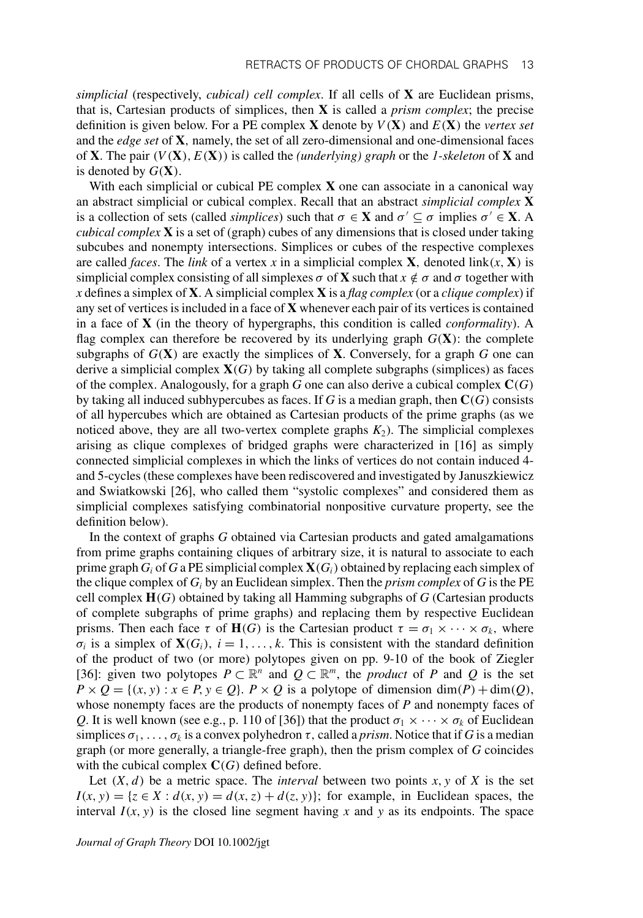*simplicial* (respectively, *cubical) cell complex*. If all cells of **X** are Euclidean prisms, that is, Cartesian products of simplices, then **X** is called a *prism complex*; the precise definition is given below. For a PE complex **X** denote by *V*(**X**) and *E*(**X**) the *vertex set* and the *edge set* of **X**, namely, the set of all zero-dimensional and one-dimensional faces of **X**. The pair (*V*(**X**), *E*(**X**)) is called the *(underlying) graph* or the *1-skeleton* of **X** and is denoted by  $G(\mathbf{X})$ .

With each simplicial or cubical PE complex **X** one can associate in a canonical way an abstract simplicial or cubical complex. Recall that an abstract *simplicial complex* **X** is a collection of sets (called *simplices*) such that  $\sigma \in \mathbf{X}$  and  $\sigma' \subseteq \sigma$  implies  $\sigma' \in \mathbf{X}$ . A *cubical complex* **X** is a set of (graph) cubes of any dimensions that is closed under taking subcubes and nonempty intersections. Simplices or cubes of the respective complexes are called *faces*. The *link* of a vertex *x* in a simplicial complex **X**, denoted link $(x, \mathbf{X})$  is simplicial complex consisting of all simplexes  $\sigma$  of **X** such that  $x \notin \sigma$  and  $\sigma$  together with *x* defines a simplex of **X**. A simplicial complex **X** is a *flag complex* (or a *clique complex*) if any set of vertices is included in a face of **X** whenever each pair of its vertices is contained in a face of **X** (in the theory of hypergraphs, this condition is called *conformality*). A flag complex can therefore be recovered by its underlying graph  $G(X)$ : the complete subgraphs of  $G(X)$  are exactly the simplices of **X**. Conversely, for a graph G one can derive a simplicial complex  $X(G)$  by taking all complete subgraphs (simplices) as faces of the complex. Analogously, for a graph *G* one can also derive a cubical complex **C**(*G*) by taking all induced subhypercubes as faces. If *G* is a median graph, then **C**(*G*) consists of all hypercubes which are obtained as Cartesian products of the prime graphs (as we noticed above, they are all two-vertex complete graphs  $K_2$ ). The simplicial complexes arising as clique complexes of bridged graphs were characterized in [16] as simply connected simplicial complexes in which the links of vertices do not contain induced 4 and 5-cycles (these complexes have been rediscovered and investigated by Januszkiewicz and Swiatkowski [26], who called them "systolic complexes" and considered them as simplicial complexes satisfying combinatorial nonpositive curvature property, see the definition below).

In the context of graphs *G* obtained via Cartesian products and gated amalgamations from prime graphs containing cliques of arbitrary size, it is natural to associate to each prime graph  $G_i$  of  $G$  a PE simplicial complex  $\mathbf{X}(G_i)$  obtained by replacing each simplex of the clique complex of  $G_i$  by an Euclidean simplex. Then the *prism complex* of  $G$  is the PE cell complex **H**(*G*) obtained by taking all Hamming subgraphs of *G* (Cartesian products of complete subgraphs of prime graphs) and replacing them by respective Euclidean prisms. Then each face  $\tau$  of **H**(*G*) is the Cartesian product  $\tau = \sigma_1 \times \cdots \times \sigma_k$ , where  $\sigma_i$  is a simplex of  $\mathbf{X}(G_i)$ ,  $i = 1, \ldots, k$ . This is consistent with the standard definition of the product of two (or more) polytopes given on pp. 9-10 of the book of Ziegler [36]: given two polytopes  $P \subset \mathbb{R}^n$  and  $Q \subset \mathbb{R}^m$ , the *product* of *P* and *Q* is the set  $P \times Q = \{(x, y) : x \in P, y \in Q\}$ .  $P \times Q$  is a polytope of dimension dim(*P*) + dim(*Q*), whose nonempty faces are the products of nonempty faces of *P* and nonempty faces of *Q*. It is well known (see e.g., p. 110 of [36]) that the product  $\sigma_1 \times \cdots \times \sigma_k$  of Euclidean simplices  $\sigma_1, \ldots, \sigma_k$  is a convex polyhedron  $\tau$ , called a *prism*. Notice that if *G* is a median graph (or more generally, a triangle-free graph), then the prism complex of *G* coincides with the cubical complex  $C(G)$  defined before.

Let  $(X, d)$  be a metric space. The *interval* between two points  $x, y$  of  $X$  is the set  $I(x, y) = \{z \in X : d(x, y) = d(x, z) + d(z, y)\}$ ; for example, in Euclidean spaces, the interval  $I(x, y)$  is the closed line segment having x and y as its endpoints. The space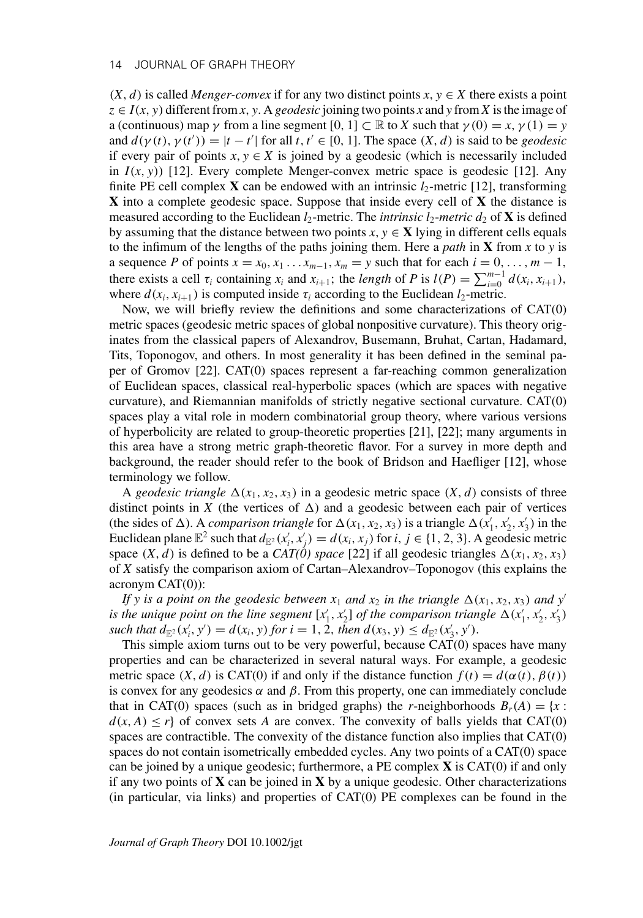#### 14 JOURNAL OF GRAPH THEORY

 $(X, d)$  is called *Menger-convex* if for any two distinct points  $x, y \in X$  there exists a point  $z \in I(x, y)$  different from *x*, *y*. A *geodesic* joining two points *x* and *y* from *X* is the image of a (continuous) map  $\gamma$  from a line segment [0, 1]  $\subset \mathbb{R}$  to *X* such that  $\gamma(0) = x$ ,  $\gamma(1) = y$ and  $d(\gamma(t), \gamma(t')) = |t - t'|$  for all  $t, t' \in [0, 1]$ . The space  $(X, d)$  is said to be *geodesic* if every pair of points  $x, y \in X$  is joined by a geodesic (which is necessarily included in  $I(x, y)$  [12]. Every complete Menger-convex metric space is geodesic [12]. Any finite PE cell complex **X** can be endowed with an intrinsic  $l_2$ -metric [12], transforming **X** into a complete geodesic space. Suppose that inside every cell of **X** the distance is measured according to the Euclidean  $l_2$ -metric. The *intrinsic*  $l_2$ -metric  $d_2$  of **X** is defined by assuming that the distance between two points  $x, y \in \mathbf{X}$  lying in different cells equals to the infimum of the lengths of the paths joining them. Here a *path* in **X** from *x* to *y* is a sequence *P* of points  $x = x_0, x_1 \dots x_{m-1}, x_m = y$  such that for each  $i = 0, \dots, m-1$ , there exists a cell  $\tau_i$  containing  $x_i$  and  $x_{i+1}$ ; the *length* of *P* is  $l(P) = \sum_{i=0}^{m-1} d(x_i, x_{i+1})$ , where  $d(x_i, x_{i+1})$  is computed inside  $\tau_i$  according to the Euclidean  $l_2$ -metric.

Now, we will briefly review the definitions and some characterizations of CAT(0) metric spaces (geodesic metric spaces of global nonpositive curvature). This theory originates from the classical papers of Alexandrov, Busemann, Bruhat, Cartan, Hadamard, Tits, Toponogov, and others. In most generality it has been defined in the seminal paper of Gromov [22]. CAT(0) spaces represent a far-reaching common generalization of Euclidean spaces, classical real-hyperbolic spaces (which are spaces with negative curvature), and Riemannian manifolds of strictly negative sectional curvature. CAT(0) spaces play a vital role in modern combinatorial group theory, where various versions of hyperbolicity are related to group-theoretic properties [21], [22]; many arguments in this area have a strong metric graph-theoretic flavor. For a survey in more depth and background, the reader should refer to the book of Bridson and Haefliger [12], whose terminology we follow.

A *geodesic triangle*  $\Delta(x_1, x_2, x_3)$  in a geodesic metric space  $(X, d)$  consists of three distinct points in *X* (the vertices of  $\Delta$ ) and a geodesic between each pair of vertices (the sides of  $\Delta$ ). A *comparison triangle* for  $\Delta(x_1, x_2, x_3)$  is a triangle  $\Delta(x'_1, x'_2, x'_3)$  in the Euclidean plane  $\mathbb{E}^2$  such that  $d_{\mathbb{E}^2}(x'_i, x'_j) = d(x_i, x_j)$  for *i*,  $j \in \{1, 2, 3\}$ . A geodesic metric space  $(X, d)$  is defined to be a  $CAT(\theta)$  space [22] if all geodesic triangles  $\Delta(x_1, x_2, x_3)$ of *X* satisfy the comparison axiom of Cartan–Alexandrov–Toponogov (this explains the acronym CAT(0)):

*If y is a point on the geodesic between*  $x_1$  *and*  $x_2$  *in the triangle*  $\Delta(x_1, x_2, x_3)$  *and*  $y'$ *is the unique point on the line segment*  $[x'_1, x'_2]$  *of the comparison triangle*  $\Delta(x'_1, x'_2, x'_3)$  $\text{such that } d_{\mathbb{E}^2}(x'_i, y') = d(x_i, y) \text{ for } i = 1, 2, \text{ then } d(x_3, y) \leq d_{\mathbb{E}^2}(x'_3, y').$ 

This simple axiom turns out to be very powerful, because CAT(0) spaces have many properties and can be characterized in several natural ways. For example, a geodesic metric space  $(X, d)$  is CAT(0) if and only if the distance function  $f(t) = d(\alpha(t), \beta(t))$ is convex for any geodesics  $\alpha$  and  $\beta$ . From this property, one can immediately conclude that in CAT(0) spaces (such as in bridged graphs) the *r*-neighborhoods  $B_r(A) = \{x :$  $d(x, A) \leq r$  of convex sets *A* are convex. The convexity of balls yields that CAT(0) spaces are contractible. The convexity of the distance function also implies that CAT(0) spaces do not contain isometrically embedded cycles. Any two points of a CAT(0) space can be joined by a unique geodesic; furthermore, a PE complex **X** is CAT(0) if and only if any two points of **X** can be joined in **X** by a unique geodesic. Other characterizations (in particular, via links) and properties of CAT(0) PE complexes can be found in the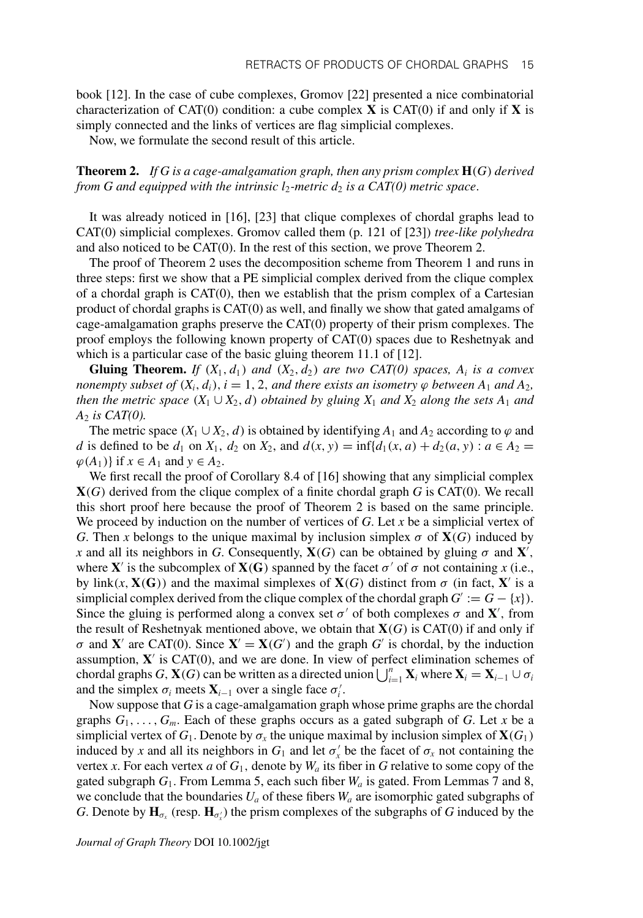book [12]. In the case of cube complexes, Gromov [22] presented a nice combinatorial characterization of CAT(0) condition: a cube complex **X** is CAT(0) if and only if **X** is simply connected and the links of vertices are flag simplicial complexes.

Now, we formulate the second result of this article.

#### **Theorem 2.** *If G is a cage-amalgamation graph, then any prism complex* **H**(*G*) *derived from G and equipped with the intrinsic*  $l_2$ *-metric*  $d_2$  *is a CAT(0) metric space.*

It was already noticed in [16], [23] that clique complexes of chordal graphs lead to CAT(0) simplicial complexes. Gromov called them (p. 121 of [23]) *tree-like polyhedra* and also noticed to be CAT(0). In the rest of this section, we prove Theorem 2.

The proof of Theorem 2 uses the decomposition scheme from Theorem 1 and runs in three steps: first we show that a PE simplicial complex derived from the clique complex of a chordal graph is  $CAT(0)$ , then we establish that the prism complex of a Cartesian product of chordal graphs is CAT(0) as well, and finally we show that gated amalgams of cage-amalgamation graphs preserve the CAT(0) property of their prism complexes. The proof employs the following known property of CAT(0) spaces due to Reshetnyak and which is a particular case of the basic gluing theorem 11.1 of [12].

**Gluing Theorem.** *If*  $(X_1, d_1)$  *and*  $(X_2, d_2)$  *are two CAT(0) spaces,*  $A_i$  *is a convex nonempty subset of*  $(X_i, d_i)$ ,  $i = 1, 2$ , *and there exists an isometry*  $\varphi$  *between*  $A_1$  *and*  $A_2$ *, then the metric space*  $(X_1 \cup X_2, d)$  *obtained by gluing*  $X_1$  *and*  $X_2$  *along the sets*  $A_1$  *and A*<sup>2</sup> *is CAT(0).*

The metric space  $(X_1 \cup X_2, d)$  is obtained by identifying  $A_1$  and  $A_2$  according to  $\varphi$  and *d* is defined to be  $d_1$  on  $X_1$ ,  $d_2$  on  $X_2$ , and  $d(x, y) = \inf\{d_1(x, a) + d_2(a, y) : a \in A_2 = 0\}$  $\varphi(A_1)$  if  $x \in A_1$  and  $y \in A_2$ .

We first recall the proof of Corollary 8.4 of [16] showing that any simplicial complex **X**(*G*) derived from the clique complex of a finite chordal graph *G* is CAT(0). We recall this short proof here because the proof of Theorem 2 is based on the same principle. We proceed by induction on the number of vertices of *G*. Let *x* be a simplicial vertex of *G*. Then *x* belongs to the unique maximal by inclusion simplex  $\sigma$  of  $\mathbf{X}(G)$  induced by *x* and all its neighbors in *G*. Consequently,  $X(G)$  can be obtained by gluing  $\sigma$  and  $X'$ , where **X**' is the subcomplex of **X**(**G**) spanned by the facet  $\sigma'$  of  $\sigma$  not containing x (i.e., by link( $x$ ,  $X(G)$ ) and the maximal simplexes of  $X(G)$  distinct from  $\sigma$  (in fact,  $X'$  is a simplicial complex derived from the clique complex of the chordal graph  $G' := G - \{x\}$ . Since the gluing is performed along a convex set  $\sigma'$  of both complexes  $\sigma$  and **X**', from the result of Reshetnyak mentioned above, we obtain that  $X(G)$  is CAT(0) if and only if  $\sigma$  and **X**' are CAT(0). Since **X**' = **X**(*G*<sup>'</sup>) and the graph *G*<sup>'</sup> is chordal, by the induction assumption,  $X'$  is CAT(0), and we are done. In view of perfect elimination schemes of chordal graphs *G*, **X**(*G*) can be written as a directed union  $\bigcup_{i=1}^{n} \mathbf{X}_i$  where  $\mathbf{X}_i = \mathbf{X}_{i-1} \cup \sigma_i$ and the simplex  $\sigma_i$  meets  $\mathbf{X}_{i-1}$  over a single face  $\sigma'_i$ .

Now suppose that *G* is a cage-amalgamation graph whose prime graphs are the chordal graphs  $G_1, \ldots, G_m$ . Each of these graphs occurs as a gated subgraph of *G*. Let *x* be a simplicial vertex of  $G_1$ . Denote by  $\sigma_x$  the unique maximal by inclusion simplex of  $\mathbf{X}(G_1)$ induced by *x* and all its neighbors in  $G_1$  and let  $\sigma'_x$  be the facet of  $\sigma_x$  not containing the vertex *x*. For each vertex *a* of  $G_1$ , denote by  $W_a$  its fiber in *G* relative to some copy of the gated subgraph  $G_1$ . From Lemma 5, each such fiber  $W_a$  is gated. From Lemmas 7 and 8, we conclude that the boundaries  $U_a$  of these fibers  $W_a$  are isomorphic gated subgraphs of *G*. Denote by  $\mathbf{H}_{\sigma_x}$  (resp.  $\mathbf{H}_{\sigma'_x}$ ) the prism complexes of the subgraphs of *G* induced by the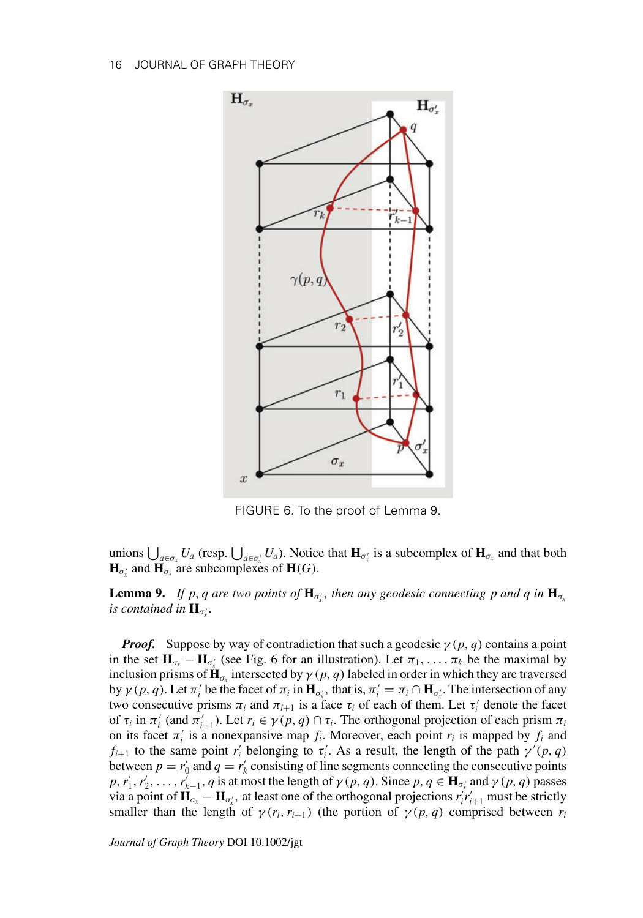

FIGURE 6. To the proof of Lemma 9.

unions  $\bigcup_{a \in \sigma_x} U_a$  (resp.  $\bigcup_{a \in \sigma'_x} U_a$ ). Notice that  $\mathbf{H}_{\sigma'_x}$  is a subcomplex of  $\mathbf{H}_{\sigma_x}$  and that both  $\mathbf{H}_{\sigma_x}$  and  $\mathbf{H}_{\sigma_x}$  are subcomplexes of  $\mathbf{H}(G)$ .

**Lemma 9.** *If p, q are two points of*  $\mathbf{H}_{\sigma_x'}$ , then any geodesic connecting p and q in  $\mathbf{H}_{\sigma_x}$ is contained in  $\mathbf{H}_{\sigma_x^{\prime}}$ .

*Proof.* Suppose by way of contradiction that such a geodesic  $\gamma(p, q)$  contains a point in the set  $H_{\sigma_x} - H_{\sigma'_x}$  (see Fig. 6 for an illustration). Let  $\pi_1, \ldots, \pi_k$  be the maximal by inclusion prisms of  $\mathbf{H}_{\sigma}$  intersected by  $\gamma(p, q)$  labeled in order in which they are traversed by  $\gamma(p, q)$ . Let  $\pi'_i$  be the facet of  $\pi_i$  in  $\mathbf{H}_{\sigma'_x}$ , that is,  $\pi'_i = \pi_i \cap \mathbf{H}_{\sigma'_x}$ . The intersection of any two consecutive prisms  $\pi_i$  and  $\pi_{i+1}$  is a face  $\tau_i$  of each of them. Let  $\tau'_i$  denote the facet of  $\tau_i$  in  $\pi'_i$  (and  $\pi'_{i+1}$ ). Let  $r_i \in \gamma(p, q) \cap \tau_i$ . The orthogonal projection of each prism  $\pi_i$ on its facet  $\pi'_i$  is a nonexpansive map  $f_i$ . Moreover, each point  $r_i$  is mapped by  $f_i$  and *f*<sub>*i*+1</sub> to the same point *r*<sup>'</sup><sub>*i*</sub> belonging to  $\tau$ <sup>'</sup><sub>*i*</sub>. As a result, the length of the path  $\gamma'(p, q)$ between  $p = r'_0$  and  $q = r'_k$  consisting of line segments connecting the consecutive points *p*, *r*<sub>1</sub>, *r*<sub>2</sub>,..., *r*<sub>*k*</sub><sup> $\ell$ </sup>, *q* is at most the length of  $\gamma$  (*p*, *q*). Since *p*, *q*  $\in$  **H**<sub>σ'</sub><sub>*x*</sub> and  $\gamma$  (*p*, *q*) passes via a point of  $\mathbf{H}_{\sigma_x} - \mathbf{H}_{\sigma_x}$ , at least one of the orthogonal projections  $r_i^j r_{i+1}^j$  must be strictly smaller than the length of  $\gamma(r_i, r_{i+1})$  (the portion of  $\gamma(p, q)$  comprised between  $r_i$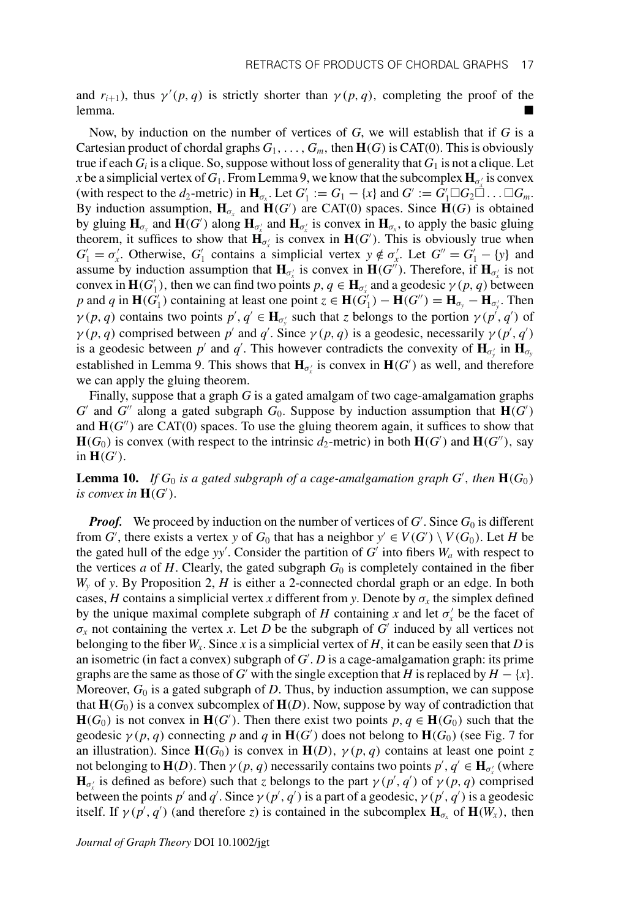and  $r_{i+1}$ ), thus  $\gamma'(p,q)$  is strictly shorter than  $\gamma(p,q)$ , completing the proof of the lemma.

Now, by induction on the number of vertices of *G*, we will establish that if *G* is a Cartesian product of chordal graphs  $G_1, \ldots, G_m$ , then  $H(G)$  is CAT(0). This is obviously true if each  $G_i$  is a clique. So, suppose without loss of generality that  $G_1$  is not a clique. Let *x* be a simplicial vertex of  $G_1$ . From Lemma 9, we know that the subcomplex  $\mathbf{H}_{\sigma_x^{\prime}}$  is convex (with respect to the *d*<sub>2</sub>-metric) in  $\mathbf{H}_{\sigma_x}$ . Let  $G'_1 := G_1 - \{x\}$  and  $G' := G'_1 \square G_2 \square \dots \square G_m$ . By induction assumption,  $H_{\sigma_x}$  and  $H(G')$  are CAT(0) spaces. Since  $H(G)$  is obtained by gluing  $H_{\sigma_x}$  and  $H(G')$  along  $H_{\sigma'_x}$  and  $H_{\sigma'_x}$  is convex in  $H_{\sigma_x}$ , to apply the basic gluing theorem, it suffices to show that  $\mathbf{H}_{\sigma_x}$  is convex in  $\mathbf{H}(G')$ . This is obviously true when  $G'_1 = \sigma'_x$ . Otherwise,  $G'_1$  contains a simplicial vertex  $y \notin \sigma'_x$ . Let  $G'' = G'_1 - \{y\}$  and assume by induction assumption that  $H_{\sigma'_x}$  is convex in  $H(G'')$ . Therefore, if  $H_{\sigma'_x}$  is not convex in  $H(G_1')$ , then we can find two points  $p, q \in H_{\sigma'_x}$  and a geodesic  $\gamma(p, q)$  between *p* and *q* in **H**( $G$ <sup>'</sup><sub>1</sub>)</sub> containing at least one point  $z \in H(\hat{G}^{\prime}_1) - H(G^{\prime\prime}) = H_{\sigma_y} - H_{\sigma_y}$ . Then  $\gamma(p, q)$  contains two points  $p', q' \in H_{\sigma_y}$  such that *z* belongs to the portion  $\gamma(p', q')$  of  $\gamma(p, q)$  comprised between *p'* and *q'*. Since  $\gamma(p, q)$  is a geodesic, necessarily  $\gamma(p', q')$ is a geodesic between  $p'$  and  $q'$ . This however contradicts the convexity of  $H_{\sigma_y}$  in  $H_{\sigma_y}$ established in Lemma 9. This shows that  $H_{\sigma'_x}$  is convex in  $H(G')$  as well, and therefore we can apply the gluing theorem.

Finally, suppose that a graph *G* is a gated amalgam of two cage-amalgamation graphs  $G'$  and  $G''$  along a gated subgraph  $G_0$ . Suppose by induction assumption that  $H(G')$ and  $\mathbf{H}(G'')$  are CAT(0) spaces. To use the gluing theorem again, it suffices to show that  $\mathbf{H}(G_0)$  is convex (with respect to the intrinsic  $d_2$ -metric) in both  $\mathbf{H}(G')$  and  $\mathbf{H}(G'')$ , say in  $H(G')$ .

**Lemma 10.** If  $G_0$  is a gated subgraph of a cage-amalgamation graph  $G'$ , then  $\mathbf{H}(G_0)$ *is convex in*  $H(G')$ .

*Proof.* We proceed by induction on the number of vertices of  $G'$ . Since  $G_0$  is different from *G*<sup>'</sup>, there exists a vertex *y* of *G*<sub>0</sub> that has a neighbor  $y' \in V(G') \setminus V(G_0)$ . Let *H* be the gated hull of the edge  $yy'$ . Consider the partition of  $G'$  into fibers  $W_a$  with respect to the vertices *a* of *H*. Clearly, the gated subgraph  $G_0$  is completely contained in the fiber *Wy* of *y*. By Proposition 2, *H* is either a 2-connected chordal graph or an edge. In both cases, *H* contains a simplicial vertex *x* different from *y*. Denote by  $\sigma_x$  the simplex defined by the unique maximal complete subgraph of *H* containing *x* and let  $\sigma'_x$  be the facet of  $\sigma_x$  not containing the vertex *x*. Let *D* be the subgraph of *G'* induced by all vertices not belonging to the fiber  $W_x$ . Since x is a simplicial vertex of  $H$ , it can be easily seen that  $D$  is an isometric (in fact a convex) subgraph of *G* . *D* is a cage-amalgamation graph: its prime graphs are the same as those of *G'* with the single exception that *H* is replaced by  $H - \{x\}$ . Moreover, *G*<sup>0</sup> is a gated subgraph of *D*. Thus, by induction assumption, we can suppose that  $\mathbf{H}(G_0)$  is a convex subcomplex of  $\mathbf{H}(D)$ . Now, suppose by way of contradiction that **H**( $G_0$ ) is not convex in **H**( $G'$ ). Then there exist two points  $p, q \in \mathbf{H}(G_0)$  such that the geodesic  $\gamma(p, q)$  connecting p and q in  $\mathbf{H}(G')$  does not belong to  $\mathbf{H}(G_0)$  (see Fig. 7 for an illustration). Since  $H(G_0)$  is convex in  $H(D)$ ,  $\gamma(p, q)$  contains at least one point *z* not belonging to  $\mathbf{H}(D)$ . Then  $\gamma(p, q)$  necessarily contains two points  $p', q' \in \mathbf{H}_{\sigma_x'}$  (where  $\mathbf{H}_{\sigma_x^{\prime}}$  is defined as before) such that *z* belongs to the part  $\gamma(p^{\prime}, q^{\prime})$  of  $\gamma(p, q)$  comprised between the points  $p'$  and  $q'$ . Since  $\gamma(p', q')$  is a part of a geodesic,  $\gamma(p', q')$  is a geodesic itself. If  $\gamma(p', q')$  (and therefore *z*) is contained in the subcomplex  $\mathbf{H}_{\sigma_x}$  of  $\mathbf{H}(W_x)$ , then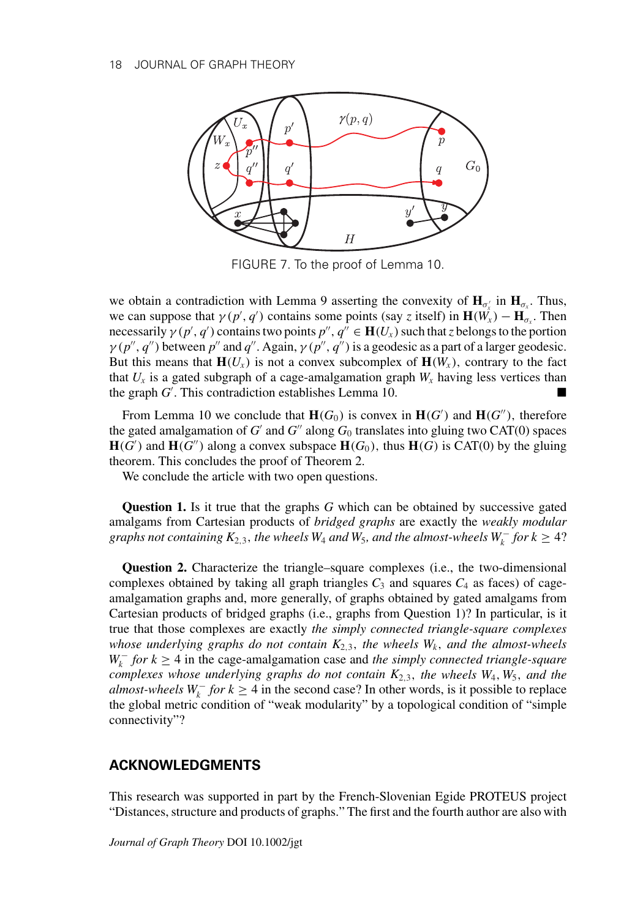

FIGURE 7. To the proof of Lemma 10.

we obtain a contradiction with Lemma 9 asserting the convexity of  $H_{\sigma'_x}$  in  $H_{\sigma_x}$ . Thus, we can suppose that  $\gamma(p', q')$  contains some points (say *z* itself) in  $\mathbf{H}(\hat{W_x}) - \mathbf{H}_{\sigma_x}$ . Then necessarily  $\gamma(p', q')$  contains two points  $p'', q'' \in \mathbf{H}(U_x)$  such that *z* belongs to the portion  $\gamma(p'', q'')$  between  $p''$  and  $q''$ . Again,  $\gamma(p'', q'')$  is a geodesic as a part of a larger geodesic. But this means that  $\mathbf{H}(U_x)$  is not a convex subcomplex of  $\mathbf{H}(W_x)$ , contrary to the fact that  $U_x$  is a gated subgraph of a cage-amalgamation graph  $W_x$  having less vertices than the graph *G* . This contradiction establishes Lemma 10.

From Lemma 10 we conclude that  $\mathbf{H}(G_0)$  is convex in  $\mathbf{H}(G')$  and  $\mathbf{H}(G'')$ , therefore the gated amalgamation of  $G'$  and  $G''$  along  $G_0$  translates into gluing two CAT(0) spaces  $\mathbf{H}(G')$  and  $\mathbf{H}(G'')$  along a convex subspace  $\mathbf{H}(G_0)$ , thus  $\mathbf{H}(G)$  is CAT(0) by the gluing theorem. This concludes the proof of Theorem 2.

We conclude the article with two open questions.

**Question 1.** Is it true that the graphs *G* which can be obtained by successive gated amalgams from Cartesian products of *bridged graphs* are exactly the *weakly modular graphs not containing*  $K_{2,3}$ , *the wheels*  $W_4$  *and*  $W_5$ *, and the almost-wheels*  $W_k^-$  *for*  $k \geq 4$ ?

**Question 2.** Characterize the triangle–square complexes (i.e., the two-dimensional complexes obtained by taking all graph triangles  $C_3$  and squares  $C_4$  as faces) of cageamalgamation graphs and, more generally, of graphs obtained by gated amalgams from Cartesian products of bridged graphs (i.e., graphs from Question 1)? In particular, is it true that those complexes are exactly *the simply connected triangle-square complexes whose underlying graphs do not contain*  $K_{2,3}$ *, the wheels*  $W_k$ *, and the almost-wheels W*<sub>*k*</sub> *for k* ≥ 4 in the cage-amalgamation case and *the simply connected triangle-square complexes whose underlying graphs do not contain K*2,3, *the wheels W*4,*W*5, *and the almost-wheels*  $W_k^-$  *for*  $k \geq 4$  in the second case? In other words, is it possible to replace the global metric condition of "weak modularity" by a topological condition of "simple connectivity"?

## **ACKNOWLEDGMENTS**

This research was supported in part by the French-Slovenian Egide PROTEUS project "Distances, structure and products of graphs." The first and the fourth author are also with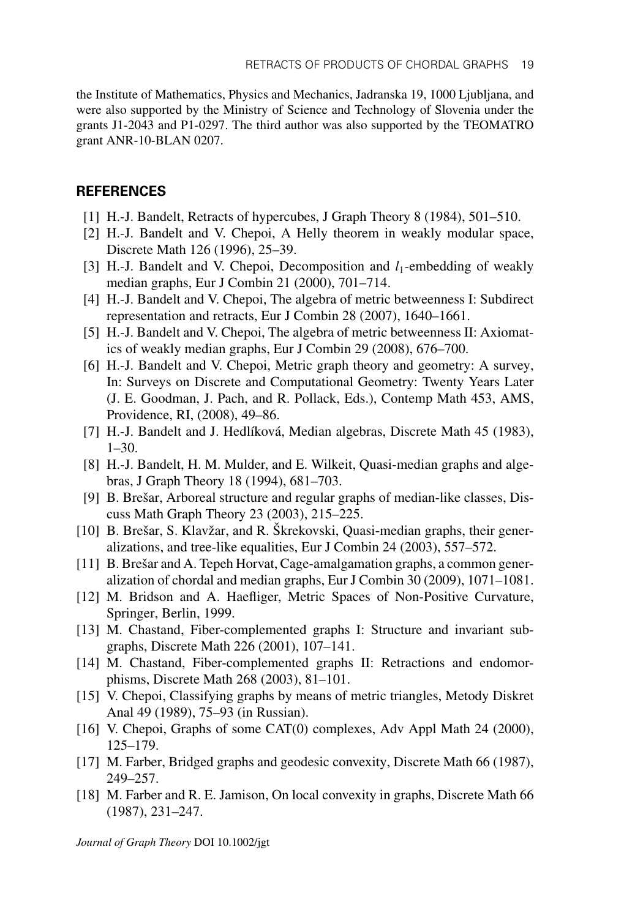the Institute of Mathematics, Physics and Mechanics, Jadranska 19, 1000 Ljubljana, and were also supported by the Ministry of Science and Technology of Slovenia under the grants J1-2043 and P1-0297. The third author was also supported by the TEOMATRO grant ANR-10-BLAN 0207.

### **REFERENCES**

- [1] H.-J. Bandelt, Retracts of hypercubes, J Graph Theory 8 (1984), 501–510.
- [2] H.-J. Bandelt and V. Chepoi, A Helly theorem in weakly modular space, Discrete Math 126 (1996), 25–39.
- [3] H.-J. Bandelt and V. Chepoi, Decomposition and *l*<sub>1</sub>-embedding of weakly median graphs, Eur J Combin 21 (2000), 701–714.
- [4] H.-J. Bandelt and V. Chepoi, The algebra of metric betweenness I: Subdirect representation and retracts, Eur J Combin 28 (2007), 1640–1661.
- [5] H.-J. Bandelt and V. Chepoi, The algebra of metric betweenness II: Axiomatics of weakly median graphs, Eur J Combin 29 (2008), 676–700.
- [6] H.-J. Bandelt and V. Chepoi, Metric graph theory and geometry: A survey, In: Surveys on Discrete and Computational Geometry: Twenty Years Later (J. E. Goodman, J. Pach, and R. Pollack, Eds.), Contemp Math 453, AMS, Providence, RI, (2008), 49–86.
- [7] H.-J. Bandelt and J. Hedlíková, Median algebras, Discrete Math 45 (1983),  $1-30.$
- [8] H.-J. Bandelt, H. M. Mulder, and E. Wilkeit, Quasi-median graphs and algebras, J Graph Theory 18 (1994), 681–703.
- [9] B. Brešar, Arboreal structure and regular graphs of median-like classes, Discuss Math Graph Theory 23 (2003), 215–225.
- [10] B. Brešar, S. Klavžar, and R. Škrekovski, Quasi-median graphs, their generalizations, and tree-like equalities, Eur J Combin 24 (2003), 557–572.
- [11] B. Brešar and A. Tepeh Horvat, Cage-amalgamation graphs, a common generalization of chordal and median graphs, Eur J Combin 30 (2009), 1071–1081.
- [12] M. Bridson and A. Haefliger, Metric Spaces of Non-Positive Curvature, Springer, Berlin, 1999.
- [13] M. Chastand, Fiber-complemented graphs I: Structure and invariant subgraphs, Discrete Math 226 (2001), 107–141.
- [14] M. Chastand, Fiber-complemented graphs II: Retractions and endomorphisms, Discrete Math 268 (2003), 81–101.
- [15] V. Chepoi, Classifying graphs by means of metric triangles, Metody Diskret Anal 49 (1989), 75–93 (in Russian).
- [16] V. Chepoi, Graphs of some CAT(0) complexes, Adv Appl Math 24 (2000), 125–179.
- [17] M. Farber, Bridged graphs and geodesic convexity, Discrete Math 66 (1987), 249–257.
- [18] M. Farber and R. E. Jamison, On local convexity in graphs, Discrete Math 66 (1987), 231–247.